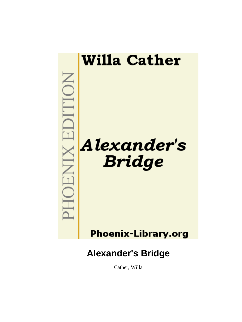

Cather, Willa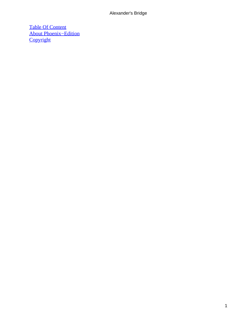[Table Of Content](#page-66-0) [About Phoenix−Edition](#page-67-0) **[Copyright](#page-70-0)**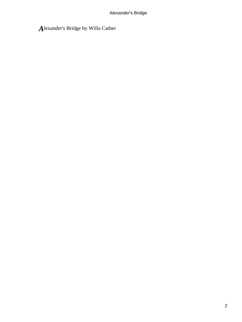## *A*lexander's Bridge by Willa Cather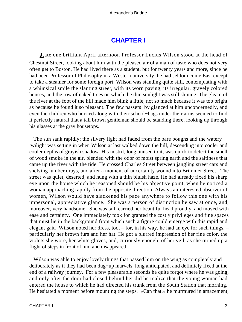## **[CHAPTER I](#page-66-0)**

<span id="page-3-0"></span>*L*ate one brilliant April afternoon Professor Lucius Wilson stood at the head of Chestnut Street, looking about him with the pleased air of a man of taste who does not very often get to Boston. He had lived there as a student, but for twenty years and more, since he had been Professor of Philosophy in a Western university, he had seldom come East except to take a steamer for some foreign port. Wilson was standing quite still, contemplating with a whimsical smile the slanting street, with its worn paving, its irregular, gravely colored houses, and the row of naked trees on which the thin sunlight was still shining. The gleam of the river at the foot of the hill made him blink a little, not so much because it was too bright as because he found it so pleasant. The few passers−by glanced at him unconcernedly, and even the children who hurried along with their school−bags under their arms seemed to find it perfectly natural that a tall brown gentleman should be standing there, looking up through his glasses at the gray housetops.

 The sun sank rapidly; the silvery light had faded from the bare boughs and the watery twilight was setting in when Wilson at last walked down the hill, descending into cooler and cooler depths of grayish shadow. His nostril, long unused to it, was quick to detect the smell of wood smoke in the air, blended with the odor of moist spring earth and the saltiness that came up the river with the tide. He crossed Charles Street between jangling street cars and shelving lumber drays, and after a moment of uncertainty wound into Brimmer Street. The street was quiet, deserted, and hung with a thin bluish haze. He had already fixed his sharp eye upon the house which he reasoned should be his objective point, when he noticed a woman approaching rapidly from the opposite direction. Always an interested observer of women, Wilson would have slackened his pace anywhere to follow this one with his impersonal, appreciative glance. She was a person of distinction he saw at once, and, moreover, very handsome. She was tall, carried her beautiful head proudly, and moved with ease and certainty. One immediately took for granted the costly privileges and fine spaces that must lie in the background from which such a figure could emerge with this rapid and elegant gait. Wilson noted her dress, too, – for, in his way, he had an eye for such things, – particularly her brown furs and her hat. He got a blurred impression of her fine color, the violets she wore, her white gloves, and, curiously enough, of her veil, as she turned up a flight of steps in front of him and disappeared.

 Wilson was able to enjoy lovely things that passed him on the wing as completely and deliberately as if they had been dug−up marvels, long anticipated, and definitely fixed at the end of a railway journey. For a few pleasurable seconds he quite forgot where he was going, and only after the door had closed behind her did he realize that the young woman had entered the house to which he had directed his trunk from the South Station that morning. He hesitated a moment before mounting the steps. «Can that,» he murmured in amazement,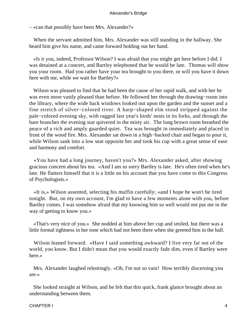– «can that possibly have been Mrs. Alexander?»

 When the servant admitted him, Mrs. Alexander was still standing in the hallway. She heard him give his name, and came forward holding out her hand.

 «Is it you, indeed, Professor Wilson? I was afraid that you might get here before I did. I was detained at a concert, and Bartley telephoned that he would be late. Thomas will show you your room. Had you rather have your tea brought to you there, or will you have it down here with me, while we wait for Bartley?»

 Wilson was pleased to find that he had been the cause of her rapid walk, and with her he was even more vastly pleased than before. He followed her through the drawing−room into the library, where the wide back windows looked out upon the garden and the sunset and a fine stretch of silver−colored river. A harp−shaped elm stood stripped against the pale−colored evening sky, with ragged last year's birds' nests in its forks, and through the bare branches the evening star quivered in the misty air. The long brown room breathed the peace of a rich and amply guarded quiet. Tea was brought in immediately and placed in front of the wood fire. Mrs. Alexander sat down in a high−backed chair and began to pour it, while Wilson sank into a low seat opposite her and took his cup with a great sense of ease and harmony and comfort.

 «You have had a long journey, haven't you?» Mrs. Alexander asked, after showing gracious concern about his tea. «And I am so sorry Bartley is late. He's often tired when he's late. He flatters himself that it is a little on his account that you have come to this Congress of Psychologists.»

 «It is,» Wilson assented, selecting his muffin carefully; «and I hope he won't be tired tonight. But, on my own account, I'm glad to have a few moments alone with you, before Bartley comes. I was somehow afraid that my knowing him so well would not put me in the way of getting to know you.»

 «That's very nice of you.» She nodded at him above her cup and smiled, but there was a little formal tightness in her tone which had not been there when she greeted him in the hall.

 Wilson leaned forward. «Have I said something awkward? I live very far out of the world, you know. But I didn't mean that you would exactly fade dim, even if Bartley were here.»

 Mrs. Alexander laughed relentingly. «Oh, I'm not so vain! How terribly discerning you are.»

 She looked straight at Wilson, and he felt that this quick, frank glance brought about an understanding between them.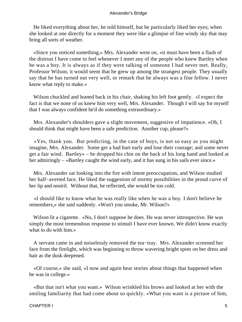He liked everything about her, he told himself, but he particularly liked her eyes; when she looked at one directly for a moment they were like a glimpse of fine windy sky that may bring all sorts of weather.

 «Since you noticed something,» Mrs. Alexander went on, «it must have been a flash of the distrust I have come to feel whenever I meet any of the people who knew Bartley when he was a boy. It is always as if they were talking of someone I had never met. Really, Professor Wilson, it would seem that he grew up among the strangest people. They usually say that he has turned out very well, or remark that he always was a fine fellow. I never know what reply to make.»

Wilson chuckled and leaned back in his chair, shaking his left foot gently. «I expect the fact is that we none of us knew him very well, Mrs. Alexander. Though I will say for myself that I was always confident he'd do something extraordinary.»

 Mrs. Alexander's shoulders gave a slight movement, suggestive of impatience. «Oh, I should think that might have been a safe prediction. Another cup, please?»

 «Yes, thank you. But predicting, in the case of boys, is not so easy as you might imagine, Mrs. Alexander. Some get a bad hurt early and lose their courage; and some never get a fair wind. Bartley» – he dropped his chin on the back of his long hand and looked at her admiringly – «Bartley caught the wind early, and it has sung in his sails ever since.»

 Mrs. Alexander sat looking into the fire with intent preoccupation, and Wilson studied her half−averted face. He liked the suggestion of stormy possibilities in the proud curve of her lip and nostril. Without that, he reflected, she would be too cold.

 «I should like to know what he was really like when he was a boy. I don't believe he remembers,» she said suddenly. «Won't you smoke, Mr. Wilson?»

Wilson lit a cigarette. «No, I don't suppose he does. He was never introspective. He was simply the most tremendous response to stimuli I have ever known. We didn't know exactly what to do with him.»

 A servant came in and noiselessly removed the tea−tray. Mrs. Alexander screened her face from the firelight, which was beginning to throw wavering bright spots on her dress and hair as the dusk deepened.

 «Of course,» she said, «I now and again hear stories about things that happened when he was in college.»

 «But that isn't what you want.» Wilson wrinkled his brows and looked at her with the smiling familiarity that had come about so quickly. «What you want is a picture of him,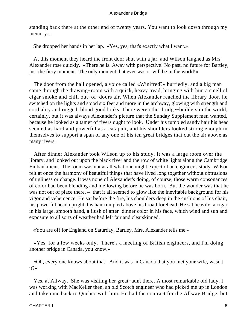standing back there at the other end of twenty years. You want to look down through my memory.»

She dropped her hands in her lap. «Yes, yes; that's exactly what I want.»

 At this moment they heard the front door shut with a jar, and Wilson laughed as Mrs. Alexander rose quickly. «There he is. Away with perspective! No past, no future for Bartley; just the fiery moment. The only moment that ever was or will be in the world!»

 The door from the hall opened, a voice called «Winifred?» hurriedly, and a big man came through the drawing−room with a quick, heavy tread, bringing with him a smell of cigar smoke and chill out−of−doors air. When Alexander reached the library door, he switched on the lights and stood six feet and more in the archway, glowing with strength and cordiality and rugged, blond good looks. There were other bridge−builders in the world, certainly, but it was always Alexander's picture that the Sunday Supplement men wanted, because he looked as a tamer of rivers ought to look. Under his tumbled sandy hair his head seemed as hard and powerful as a catapult, and his shoulders looked strong enough in themselves to support a span of any one of his ten great bridges that cut the air above as many rivers.

 After dinner Alexander took Wilson up to his study. It was a large room over the library, and looked out upon the black river and the row of white lights along the Cambridge Embankment. The room was not at all what one might expect of an engineer's study. Wilson felt at once the harmony of beautiful things that have lived long together without obtrusions of ugliness or change. It was none of Alexander's doing, of course; those warm consonances of color had been blending and mellowing before he was born. But the wonder was that he was not out of place there, – that it all seemed to glow like the inevitable background for his vigor and vehemence. He sat before the fire, his shoulders deep in the cushions of his chair, his powerful head upright, his hair rumpled above his broad forehead. He sat heavily, a cigar in his large, smooth hand, a flush of after−dinner color in his face, which wind and sun and exposure to all sorts of weather had left fair and clearskinned.

«You are off for England on Saturday, Bartley, Mrs. Alexander tells me.»

 «Yes, for a few weeks only. There's a meeting of British engineers, and I'm doing another bridge in Canada, you know.»

 «Oh, every one knows about that. And it was in Canada that you met your wife, wasn't it?»

 Yes, at Allway. She was visiting her great−aunt there. A most remarkable old lady. I was working with MacKeller then, an old Scotch engineer who had picked me up in London and taken me back to Quebec with him. He had the contract for the Allway Bridge, but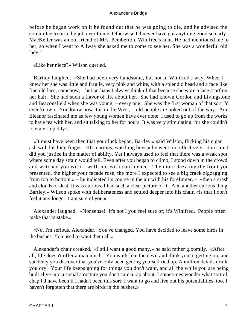before he began work on it he found out that he was going to die, and he advised the committee to turn the job over to me. Otherwise I'd never have got anything good so early. MacKeller was an old friend of Mrs. Pemberton, Winifred's aunt. He had mentioned me to her, so when I went to Allway she asked me to come to see her. She was a wonderful old lady."

«Like her niece?» Wilson queried.

 Bartley laughed. «She had been very handsome, but not in Winifred's way. When I knew her she was little and fragile, very pink and white, with a splendid head and a face like fine old lace, somehow, – but perhaps I always think of that because she wore a lace scarf on her hair. She had such a flavor of life about her. She had known Gordon and Livingstone and Beaconsfield when she was young, – every one. She was the first woman of that sort I'd ever known. You know how it is in the West, – old people are poked out of the way. Aunt Eleanor fascinated me as few young women have ever done. I used to go up from the works to have tea with her, and sit talking to her for hours. It was very stimulating, for she couldn't tolerate stupidity.»

 «It must have been then that your luck began, Bartley,» said Wilson, flicking his cigar ash with his long finger. «It's curious, watching boys,» he went on reflectively. «I'm sure I did you justice in the matter of ability. Yet I always used to feel that there was a weak spot where some day strain would tell. Even after you began to climb, I stood down in the crowd and watched you with – well, not with confidence. The more dazzling the front you presented, the higher your facade rose, the more I expected to see a big crack zigzagging from top to bottom,» – he indicated its course in the air with his forefinger, – «then a crash and clouds of dust. It was curious. I had such a clear picture of it. And another curious thing, Bartley,» Wilson spoke with deliberateness and settled deeper into his chair, «is that I don't feel it any longer. I am sure of you.»

 Alexander laughed. «Nonsense! It's not I you feel sure of; it's Winifred. People often make that mistake.»

 «No, I'm serious, Alexander. You've changed. You have decided to leave some birds in the bushes. You used to want them all.»

 Alexander's chair creaked. «I still want a good many,» he said rather gloomily. «After all, life doesn't offer a man much. You work like the devil and think you're getting on, and suddenly you discover that you've only been getting yourself tied up. A million details drink you dry. Your life keeps going for things you don't want, and all the while you are being built alive into a social structure you don't care a rap about. I sometimes wonder what sort of chap I'd have been if I hadn't been this sort; I want to go and live out his potentialities, too. I haven't forgotten that there are birds in the bushes.»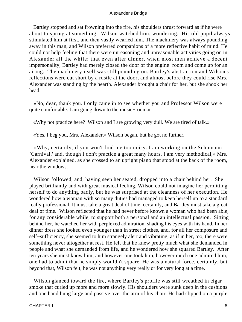Bartley stopped and sat frowning into the fire, his shoulders thrust forward as if he were about to spring at something. Wilson watched him, wondering. His old pupil always stimulated him at first, and then vastly wearied him. The machinery was always pounding away in this man, and Wilson preferred companions of a more reflective habit of mind. He could not help feeling that there were unreasoning and unreasonable activities going on in Alexander all the while; that even after dinner, when most men achieve a decent impersonality, Bartley had merely closed the door of the engine−room and come up for an airing. The machinery itself was still pounding on. Bartley's abstraction and Wilson's reflections were cut short by a rustle at the door, and almost before they could rise Mrs. Alexander was standing by the hearth. Alexander brought a chair for her, but she shook her head.

 «No, dear, thank you. I only came in to see whether you and Professor Wilson were quite comfortable. I am going down to the music−room.»

«Why not practice here? Wilson and I are growing very dull. We are tired of talk.»

«Yes, I beg you, Mrs. Alexander,» Wilson began, but he got no further.

 «Why, certainly, if you won't find me too noisy. I am working on the Schumann `Carnival,' and, though I don't practice a great many hours, I am very methodical,» Mrs. Alexander explained, as she crossed to an upright piano that stood at the back of the room, near the windows.

 Wilson followed, and, having seen her seated, dropped into a chair behind her. She played brilliantly and with great musical feeling. Wilson could not imagine her permitting herself to do anything badly, but he was surprised at the cleanness of her execution. He wondered how a woman with so many duties had managed to keep herself up to a standard really professional. It must take a great deal of time, certainly, and Bartley must take a great deal of time. Wilson reflected that he had never before known a woman who had been able, for any considerable while, to support both a personal and an intellectual passion. Sitting behind her, he watched her with perplexed admiration, shading his eyes with his hand. In her dinner dress she looked even younger than in street clothes, and, for all her composure and self–sufficiency, she seemed to him strangely alert and vibrating, as if in her, too, there were something never altogether at rest. He felt that he knew pretty much what she demanded in people and what she demanded from life, and he wondered how she squared Bartley. After ten years she must know him; and however one took him, however much one admired him, one had to admit that he simply wouldn't square. He was a natural force, certainly, but beyond that, Wilson felt, he was not anything very really or for very long at a time.

 Wilson glanced toward the fire, where Bartley's profile was still wreathed in cigar smoke that curled up more and more slowly. His shoulders were sunk deep in the cushions and one hand hung large and passive over the arm of his chair. He had slipped on a purple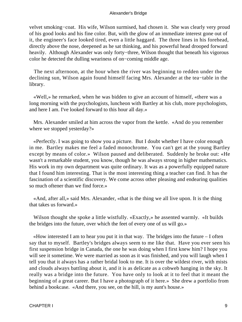velvet smoking−coat. His wife, Wilson surmised, had chosen it. She was clearly very proud of his good looks and his fine color. But, with the glow of an immediate interest gone out of it, the engineer's face looked tired, even a little haggard. The three lines in his forehead, directly above the nose, deepened as he sat thinking, and his powerful head drooped forward heavily. Although Alexander was only forty−three, Wilson thought that beneath his vigorous color he detected the dulling weariness of on−coming middle age.

 The next afternoon, at the hour when the river was beginning to redden under the declining sun, Wilson again found himself facing Mrs. Alexander at the tea−table in the library.

 «Well,» he remarked, when he was bidden to give an account of himself, «there was a long morning with the psychologists, luncheon with Bartley at his club, more psychologists, and here I am. I've looked forward to this hour all day.»

 Mrs. Alexander smiled at him across the vapor from the kettle. «And do you remember where we stopped yesterday?»

 «Perfectly. I was going to show you a picture. But I doubt whether I have color enough in me. Bartley makes me feel a faded monochrome. You can't get at the young Bartley except by means of color.» Wilson paused and deliberated. Suddenly he broke out: «He wasn't a remarkable student, you know, though he was always strong in higher mathematics. His work in my own department was quite ordinary. It was as a powerfully equipped nature that I found him interesting. That is the most interesting thing a teacher can find. It has the fascination of a scientific discovery. We come across other pleasing and endearing qualities so much oftener than we find force.»

 «And, after all,» said Mrs. Alexander, «that is the thing we all live upon. It is the thing that takes us forward.»

 Wilson thought she spoke a little wistfully. «Exactly,» he assented warmly. «It builds the bridges into the future, over which the feet of every one of us will go.»

 «How interested I am to hear you put it in that way. The bridges into the future – I often say that to myself. Bartley's bridges always seem to me like that. Have you ever seen his first suspension bridge in Canada, the one he was doing when I first knew him? I hope you will see it sometime. We were married as soon as it was finished, and you will laugh when I tell you that it always has a rather bridal look to me. It is over the wildest river, with mists and clouds always battling about it, and it is as delicate as a cobweb hanging in the sky. It really was a bridge into the future. You have only to look at it to feel that it meant the beginning of a great career. But I have a photograph of it here.» She drew a portfolio from behind a bookcase. «And there, you see, on the hill, is my aunt's house.»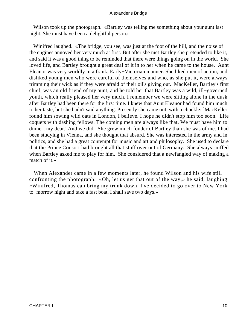Wilson took up the photograph. «Bartley was telling me something about your aunt last night. She must have been a delightful person.»

 Winifred laughed. «The bridge, you see, was just at the foot of the hill, and the noise of the engines annoyed her very much at first. But after she met Bartley she pretended to like it, and said it was a good thing to be reminded that there were things going on in the world. She loved life, and Bartley brought a great deal of it in to her when he came to the house. Aunt Eleanor was very worldly in a frank, Early−Victorian manner. She liked men of action, and disliked young men who were careful of themselves and who, as she put it, were always trimming their wick as if they were afraid of their oil's giving out. MacKeller, Bartley's first chief, was an old friend of my aunt, and he told her that Bartley was a wild, ill−governed youth, which really pleased her very much. I remember we were sitting alone in the dusk after Bartley had been there for the first time. I knew that Aunt Eleanor had found him much to her taste, but she hadn't said anything. Presently she came out, with a chuckle: `MacKeller found him sowing wild oats in London, I believe. I hope he didn't stop him too soon. Life coquets with dashing fellows. The coming men are always like that. We must have him to dinner, my dear.' And we did. She grew much fonder of Bartley than she was of me. I had been studying in Vienna, and she thought that absurd. She was interested in the army and in politics, and she had a great contempt for music and art and philosophy. She used to declare that the Prince Consort had brought all that stuff over out of Germany. She always sniffed when Bartley asked me to play for him. She considered that a newfangled way of making a match of it.»

 When Alexander came in a few moments later, he found Wilson and his wife still confronting the photograph. «Oh, let us get that out of the way,» he said, laughing. «Winifred, Thomas can bring my trunk down. I've decided to go over to New York to−morrow night and take a fast boat. I shall save two days.»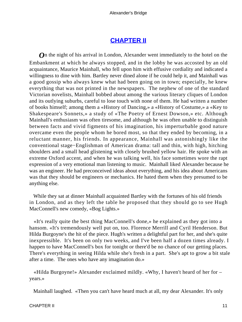## **[CHAPTER II](#page-66-0)**

<span id="page-11-0"></span>*O*n the night of his arrival in London, Alexander went immediately to the hotel on the Embankment at which he always stopped, and in the lobby he was accosted by an old acquaintance, Maurice Mainhall, who fell upon him with effusive cordiality and indicated a willingness to dine with him. Bartley never dined alone if he could help it, and Mainhall was a good gossip who always knew what had been going on in town; especially, he knew everything that was not printed in the newspapers. The nephew of one of the standard Victorian novelists, Mainhall bobbed about among the various literary cliques of London and its outlying suburbs, careful to lose touch with none of them. He had written a number of books himself; among them a «History of Dancing,» a «History of Costume,» a «Key to Shakespeare's Sonnets,» a study of «The Poetry of Ernest Dowson,» etc. Although Mainhall's enthusiasm was often tiresome, and although he was often unable to distinguish between facts and vivid figments of his imagination, his imperturbable good nature overcame even the people whom he bored most, so that they ended by becoming, in a reluctant manner, his friends. In appearance, Mainhall was astonishingly like the conventional stage−Englishman of American drama: tall and thin, with high, hitching shoulders and a small head glistening with closely brushed yellow hair. He spoke with an extreme Oxford accent, and when he was talking well, his face sometimes wore the rapt expression of a very emotional man listening to music. Mainhall liked Alexander because he was an engineer. He had preconceived ideas about everything, and his idea about Americans was that they should be engineers or mechanics. He hated them when they presumed to be anything else.

 While they sat at dinner Mainhall acquainted Bartley with the fortunes of his old friends in London, and as they left the table he proposed that they should go to see Hugh MacConnell's new comedy, «Bog Lights.»

 «It's really quite the best thing MacConnell's done,» he explained as they got into a hansom. «It's tremendously well put on, too. Florence Merrill and Cyril Henderson. But Hilda Burgoyne's the hit of the piece. Hugh's written a delightful part for her, and she's quite inexpressible. It's been on only two weeks, and I've been half a dozen times already. I happen to have MacConnell's box for tonight or there'd be no chance of our getting places. There's everything in seeing Hilda while she's fresh in a part. She's apt to grow a bit stale after a time. The ones who have any imagination do.»

 «Hilda Burgoyne!» Alexander exclaimed mildly. «Why, I haven't heard of her for – years.»

Mainhall laughed. «Then you can't have heard much at all, my dear Alexander. It's only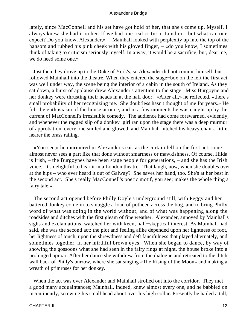lately, since MacConnell and his set have got hold of her, that she's come up. Myself, I always knew she had it in her. If we had one real critic in London – but what can one expect? Do you know, Alexander,» – Mainhall looked with perplexity up into the top of the hansom and rubbed his pink cheek with his gloved finger, – «do you know, I sometimes think of taking to criticism seriously myself. In a way, it would be a sacrifice; but, dear me, we do need some one.»

 Just then they drove up to the Duke of York's, so Alexander did not commit himself, but followed Mainhall into the theatre. When they entered the stage−box on the left the first act was well under way, the scene being the interior of a cabin in the south of Ireland. As they sat down, a burst of applause drew Alexander's attention to the stage. Miss Burgoyne and her donkey were thrusting their heads in at the half door. «After all,» he reflected, «there's small probability of her recognizing me. She doubtless hasn't thought of me for years.» He felt the enthusiasm of the house at once, and in a few moments he was caught up by the current of MacConnell's irresistible comedy. The audience had come forewarned, evidently, and whenever the ragged slip of a donkey−girl ran upon the stage there was a deep murmur of approbation, every one smiled and glowed, and Mainhall hitched his heavy chair a little nearer the brass railing.

 «You see,» he murmured in Alexander's ear, as the curtain fell on the first act, «one almost never sees a part like that done without smartness or mawkishness. Of course, Hilda is Irish, – the Burgoynes have been stage people for generations, – and she has the Irish voice. It's delightful to hear it in a London theatre. That laugh, now, when she doubles over at the hips – who ever heard it out of Galway? She saves her hand, too. She's at her best in the second act. She's really MacConnell's poetic motif, you see; makes the whole thing a fairy tale.»

 The second act opened before Philly Doyle's underground still, with Peggy and her battered donkey come in to smuggle a load of potheen across the bog, and to bring Philly word of what was doing in the world without, and of what was happening along the roadsides and ditches with the first gleam of fine weather. Alexander, annoyed by Mainhall's sighs and exclamations, watched her with keen, half−skeptical interest. As Mainhall had said, she was the second act; the plot and feeling alike depended upon her lightness of foot, her lightness of touch, upon the shrewdness and deft fancifulness that played alternately, and sometimes together, in her mirthful brown eyes. When she began to dance, by way of showing the gossoons what she had seen in the fairy rings at night, the house broke into a prolonged uproar. After her dance she withdrew from the dialogue and retreated to the ditch wall back of Philly's burrow, where she sat singing «The Rising of the Moon» and making a wreath of primroses for her donkey.

 When the act was over Alexander and Mainhall strolled out into the corridor. They met a good many acquaintances; Mainhall, indeed, knew almost every one, and he babbled on incontinently, screwing his small head about over his high collar. Presently he hailed a tall,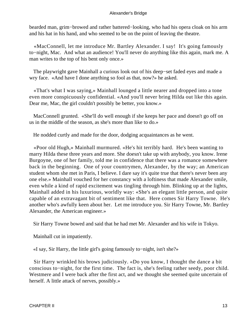bearded man, grim−browed and rather battered−looking, who had his opera cloak on his arm and his hat in his hand, and who seemed to be on the point of leaving the theatre.

 «MacConnell, let me introduce Mr. Bartley Alexander. I say! It's going famously to−night, Mac. And what an audience! You'll never do anything like this again, mark me. A man writes to the top of his bent only once.»

 The playwright gave Mainhall a curious look out of his deep−set faded eyes and made a wry face. «And have I done anything so fool as that, now?» he asked.

 «That's what I was saying,» Mainhall lounged a little nearer and dropped into a tone even more conspicuously confidential. «And you'll never bring Hilda out like this again. Dear me, Mac, the girl couldn't possibly be better, you know.»

 MacConnell grunted. «She'll do well enough if she keeps her pace and doesn't go off on us in the middle of the season, as she's more than like to do.»

He nodded curtly and made for the door, dodging acquaintances as he went.

 «Poor old Hugh,» Mainhall murmured. «He's hit terribly hard. He's been wanting to marry Hilda these three years and more. She doesn't take up with anybody, you know. Irene Burgoyne, one of her family, told me in confidence that there was a romance somewhere back in the beginning. One of your countrymen, Alexander, by the way; an American student whom she met in Paris, I believe. I dare say it's quite true that there's never been any one else.» Mainhall vouched for her constancy with a loftiness that made Alexander smile, even while a kind of rapid excitement was tingling through him. Blinking up at the lights, Mainhall added in his luxurious, worldly way: «She's an elegant little person, and quite capable of an extravagant bit of sentiment like that. Here comes Sir Harry Towne. He's another who's awfully keen about her. Let me introduce you. Sir Harry Towne, Mr. Bartley Alexander, the American engineer.»

Sir Harry Towne bowed and said that he had met Mr. Alexander and his wife in Tokyo.

Mainhall cut in impatiently.

«I say, Sir Harry, the little girl's going famously to−night, isn't she?»

 Sir Harry wrinkled his brows judiciously. «Do you know, I thought the dance a bit conscious to−night, for the first time. The fact is, she's feeling rather seedy, poor child. Westmere and I were back after the first act, and we thought she seemed quite uncertain of herself. A little attack of nerves, possibly.»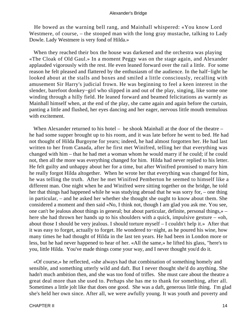He bowed as the warning bell rang, and Mainhall whispered: «You know Lord Westmere, of course, – the stooped man with the long gray mustache, talking to Lady Dowle. Lady Westmere is very fond of Hilda.»

 When they reached their box the house was darkened and the orchestra was playing «The Cloak of Old Gaul.» In a moment Peggy was on the stage again, and Alexander applauded vigorously with the rest. He even leaned forward over the rail a little. For some reason he felt pleased and flattered by the enthusiasm of the audience. In the half−light he looked about at the stalls and boxes and smiled a little consciously, recalling with amusement Sir Harry's judicial frown. He was beginning to feel a keen interest in the slender, barefoot donkey−girl who slipped in and out of the play, singing, like some one winding through a hilly field. He leaned forward and beamed felicitations as warmly as Mainhall himself when, at the end of the play, she came again and again before the curtain, panting a little and flushed, her eyes dancing and her eager, nervous little mouth tremulous with excitement.

When Alexander returned to his hotel – he shook Mainhall at the door of the theatre – he had some supper brought up to his room, and it was late before he went to bed. He had not thought of Hilda Burgoyne for years; indeed, he had almost forgotten her. He had last written to her from Canada, after he first met Winifred, telling her that everything was changed with him – that he had met a woman whom he would marry if he could; if he could not, then all the more was everything changed for him. Hilda had never replied to his letter. He felt guilty and unhappy about her for a time, but after Winifred promised to marry him he really forgot Hilda altogether. When he wrote her that everything was changed for him, he was telling the truth. After he met Winifred Pemberton he seemed to himself like a different man. One night when he and Winifred were sitting together on the bridge, he told her that things had happened while he was studying abroad that he was sorry for, – one thing in particular, – and he asked her whether she thought she ought to know about them. She considered a moment and then said «No, I think not, though I am glad you ask me. You see, one can't be jealous about things in general; but about particular, definite, personal things,» – here she had thrown her hands up to his shoulders with a quick, impulsive gesture – «oh, about those I should be very jealous. I should torture myself – I couldn't help it.» After that it was easy to forget, actually to forget. He wondered to−night, as he poured his wine, how many times he had thought of Hilda in the last ten years. He had been in London more or less, but he had never happened to hear of her. «All the same,» he lifted his glass, "here's to you, little Hilda. You've made things come your way, and I never thought you'd do it.

 «Of course,» he reflected, «she always had that combination of something homely and sensible, and something utterly wild and daft. But I never thought she'd do anything. She hadn't much ambition then, and she was too fond of trifles. She must care about the theatre a great deal more than she used to. Perhaps she has me to thank for something, after all. Sometimes a little jolt like that does one good. She was a daft, generous little thing. I'm glad she's held her own since. After all, we were awfully young. It was youth and poverty and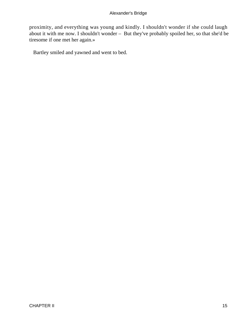proximity, and everything was young and kindly. I shouldn't wonder if she could laugh about it with me now. I shouldn't wonder – But they've probably spoiled her, so that she'd be tiresome if one met her again.»

Bartley smiled and yawned and went to bed.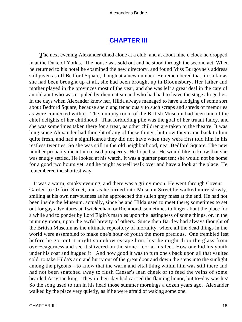### **[CHAPTER III](#page-66-0)**

<span id="page-16-0"></span>**The next evening Alexander dined alone at a club, and at about nine o'clock he dropped** in at the Duke of York's. The house was sold out and he stood through the second act. When he returned to his hotel he examined the new directory, and found Miss Burgoyne's address still given as off Bedford Square, though at a new number. He remembered that, in so far as she had been brought up at all, she had been brought up in Bloomsbury. Her father and mother played in the provinces most of the year, and she was left a great deal in the care of an old aunt who was crippled by rheumatism and who had had to leave the stage altogether. In the days when Alexander knew her, Hilda always managed to have a lodging of some sort about Bedford Square, because she clung tenaciously to such scraps and shreds of memories as were connected with it. The mummy room of the British Museum had been one of the chief delights of her childhood. That forbidding pile was the goal of her truant fancy, and she was sometimes taken there for a treat, as other children are taken to the theatre. It was long since Alexander had thought of any of these things, but now they came back to him quite fresh, and had a significance they did not have when they were first told him in his restless twenties. So she was still in the old neighborhood, near Bedford Square. The new number probably meant increased prosperity. He hoped so. He would like to know that she was snugly settled. He looked at his watch. It was a quarter past ten; she would not be home for a good two hours yet, and he might as well walk over and have a look at the place. He remembered the shortest way.

 It was a warm, smoky evening, and there was a grimy moon. He went through Covent Garden to Oxford Street, and as he turned into Museum Street he walked more slowly, smiling at his own nervousness as he approached the sullen gray mass at the end. He had not been inside the Museum, actually, since he and Hilda used to meet there; sometimes to set out for gay adventures at Twickenham or Richmond, sometimes to linger about the place for a while and to ponder by Lord Elgin's marbles upon the lastingness of some things, or, in the mummy room, upon the awful brevity of others. Since then Bartley had always thought of the British Museum as the ultimate repository of mortality, where all the dead things in the world were assembled to make one's hour of youth the more precious. One trembled lest before he got out it might somehow escape him, lest he might drop the glass from over−eagerness and see it shivered on the stone floor at his feet. How one hid his youth under his coat and hugged it! And how good it was to turn one's back upon all that vaulted cold, to take Hilda's arm and hurry out of the great door and down the steps into the sunlight among the pigeons – to know that the warm and vital thing within him was still there and had not been snatched away to flush Caesar's lean cheek or to feed the veins of some bearded Assyrian king. They in their day had carried the flaming liquor, but to−day was his! So the song used to run in his head those summer mornings a dozen years ago. Alexander walked by the place very quietly, as if he were afraid of waking some one.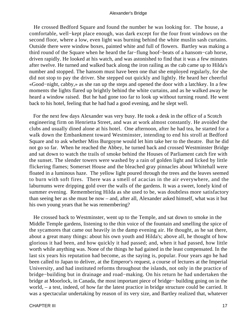He crossed Bedford Square and found the number he was looking for. The house, a comfortable, well−kept place enough, was dark except for the four front windows on the second floor, where a low, even light was burning behind the white muslin sash curtains. Outside there were window boxes, painted white and full of flowers. Bartley was making a third round of the Square when he heard the far−flung hoof−beats of a hansom−cab horse, driven rapidly. He looked at his watch, and was astonished to find that it was a few minutes after twelve. He turned and walked back along the iron railing as the cab came up to Hilda's number and stopped. The hansom must have been one that she employed regularly, for she did not stop to pay the driver. She stepped out quickly and lightly. He heard her cheerful «Good−night, cabby,» as she ran up the steps and opened the door with a latchkey. In a few moments the lights flared up brightly behind the white curtains, and as he walked away he heard a window raised. But he had gone too far to look up without turning round. He went back to his hotel, feeling that he had had a good evening, and he slept well.

 For the next few days Alexander was very busy. He took a desk in the office of a Scotch engineering firm on Henrietta Street, and was at work almost constantly. He avoided the clubs and usually dined alone at his hotel. One afternoon, after he had tea, he started for a walk down the Embankment toward Westminster, intending to end his stroll at Bedford Square and to ask whether Miss Burgoyne would let him take her to the theatre. But he did not go so far. When he reached the Abbey, he turned back and crossed Westminster Bridge and sat down to watch the trails of smoke behind the Houses of Parliament catch fire with the sunset. The slender towers were washed by a rain of golden light and licked by little flickering flames; Somerset House and the bleached gray pinnacles about Whitehall were floated in a luminous haze. The yellow light poured through the trees and the leaves seemed to burn with soft fires. There was a smell of acacias in the air everywhere, and the laburnums were dripping gold over the walls of the gardens. It was a sweet, lonely kind of summer evening. Remembering Hilda as she used to be, was doubtless more satisfactory than seeing her as she must be now – and, after all, Alexander asked himself, what was it but his own young years that he was remembering?

 He crossed back to Westminster, went up to the Temple, and sat down to smoke in the Middle Temple gardens, listening to the thin voice of the fountain and smelling the spice of the sycamores that came out heavily in the damp evening air. He thought, as he sat there, about a great many things: about his own youth and Hilda's; above all, he thought of how glorious it had been, and how quickly it had passed; and, when it had passed, how little worth while anything was. None of the things he had gained in the least compensated. In the last six years his reputation had become, as the saying is, popular. Four years ago he had been called to Japan to deliver, at the Emperor's request, a course of lectures at the Imperial University, and had instituted reforms throughout the islands, not only in the practice of bridge−building but in drainage and road−making. On his return he had undertaken the bridge at Moorlock, in Canada, the most important piece of bridge− building going on in the world, – a test, indeed, of how far the latest practice in bridge structure could be carried. It was a spectacular undertaking by reason of its very size, and Bartley realized that, whatever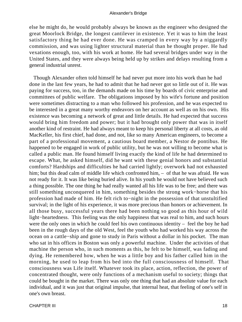else he might do, he would probably always be known as the engineer who designed the great Moorlock Bridge, the longest cantilever in existence. Yet it was to him the least satisfactory thing he had ever done. He was cramped in every way by a niggardly commission, and was using lighter structural material than he thought proper. He had vexations enough, too, with his work at home. He had several bridges under way in the United States, and they were always being held up by strikes and delays resulting from a general industrial unrest.

 Though Alexander often told himself he had never put more into his work than he had done in the last few years, he had to admit that he had never got so little out of it. He was paying for success, too, in the demands made on his time by boards of civic enterprise and committees of public welfare. The obligations imposed by his wife's fortune and position were sometimes distracting to a man who followed his profession, and he was expected to be interested in a great many worthy endeavors on her account as well as on his own. His existence was becoming a network of great and little details. He had expected that success would bring him freedom and power; but it had brought only power that was in itself another kind of restraint. He had always meant to keep his personal liberty at all costs, as old MacKeller, his first chief, had done, and not, like so many American engineers, to become a part of a professional movement, a cautious board member, a Nestor de pontibus. He happened to be engaged in work of public utility, but he was not willing to become what is called a public man. He found himself living exactly the kind of life he had determined to escape. What, he asked himself, did he want with these genial honors and substantial comforts? Hardships and difficulties he had carried lightly; overwork had not exhausted him; but this dead calm of middle life which confronted him,  $-$  of that he was afraid. He was not ready for it. It was like being buried alive. In his youth he would not have believed such a thing possible. The one thing he had really wanted all his life was to be free; and there was still something unconquered in him, something besides the strong work−horse that his profession had made of him. He felt rich to−night in the possession of that unstultified survival; in the light of his experience, it was more precious than honors or achievement. In all those busy, successful years there had been nothing so good as this hour of wild light−heartedness. This feeling was the only happiness that was real to him, and such hours were the only ones in which he could feel his own continuous identity – feel the boy he had been in the rough days of the old West, feel the youth who had worked his way across the ocean on a cattle−ship and gone to study in Paris without a dollar in his pocket. The man who sat in his offices in Boston was only a powerful machine. Under the activities of that machine the person who, in such moments as this, he felt to be himself, was fading and dying. He remembered how, when he was a little boy and his father called him in the morning, he used to leap from his bed into the full consciousness of himself. That consciousness was Life itself. Whatever took its place, action, reflection, the power of concentrated thought, were only functions of a mechanism useful to society; things that could be bought in the market. There was only one thing that had an absolute value for each individual, and it was just that original impulse, that internal heat, that feeling of one's self in one's own breast.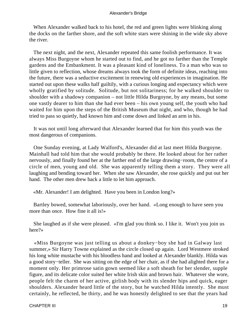When Alexander walked back to his hotel, the red and green lights were blinking along the docks on the farther shore, and the soft white stars were shining in the wide sky above the river.

 The next night, and the next, Alexander repeated this same foolish performance. It was always Miss Burgoyne whom he started out to find, and he got no farther than the Temple gardens and the Embankment. It was a pleasant kind of loneliness. To a man who was so little given to reflection, whose dreams always took the form of definite ideas, reaching into the future, there was a seductive excitement in renewing old experiences in imagination. He started out upon these walks half guiltily, with a curious longing and expectancy which were wholly gratified by solitude. Solitude, but not solitariness; for he walked shoulder to shoulder with a shadowy companion – not little Hilda Burgoyne, by any means, but some one vastly dearer to him than she had ever been – his own young self, the youth who had waited for him upon the steps of the British Museum that night, and who, though he had tried to pass so quietly, had known him and come down and linked an arm in his.

 It was not until long afterward that Alexander learned that for him this youth was the most dangerous of companions.

 One Sunday evening, at Lady Walford's, Alexander did at last meet Hilda Burgoyne. Mainhall had told him that she would probably be there. He looked about for her rather nervously, and finally found her at the farther end of the large drawing−room, the centre of a circle of men, young and old. She was apparently telling them a story. They were all laughing and bending toward her. When she saw Alexander, she rose quickly and put out her hand. The other men drew back a little to let him approach.

«Mr. Alexander! I am delighted. Have you been in London long?»

 Bartley bowed, somewhat laboriously, over her hand. «Long enough to have seen you more than once. How fine it all is!»

 She laughed as if she were pleased. «I'm glad you think so. I like it. Won't you join us here?»

 «Miss Burgoyne was just telling us about a donkey−boy she had in Galway last summer,» Sir Harry Towne explained as the circle closed up again. Lord Westmere stroked his long white mustache with his bloodless hand and looked at Alexander blankly. Hilda was a good story−teller. She was sitting on the edge of her chair, as if she had alighted there for a moment only. Her primrose satin gown seemed like a soft sheath for her slender, supple figure, and its delicate color suited her white Irish skin and brown hair. Whatever she wore, people felt the charm of her active, girlish body with its slender hips and quick, eager shoulders. Alexander heard little of the story, but he watched Hilda intently. She must certainly, he reflected, be thirty, and he was honestly delighted to see that the years had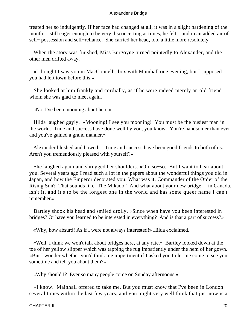treated her so indulgently. If her face had changed at all, it was in a slight hardening of the mouth – still eager enough to be very disconcerting at times, he felt – and in an added air of self− possession and self−reliance. She carried her head, too, a little more resolutely.

 When the story was finished, Miss Burgoyne turned pointedly to Alexander, and the other men drifted away.

 «I thought I saw you in MacConnell's box with Mainhall one evening, but I supposed you had left town before this.»

 She looked at him frankly and cordially, as if he were indeed merely an old friend whom she was glad to meet again.

«No, I've been mooning about here.»

 Hilda laughed gayly. «Mooning! I see you mooning! You must be the busiest man in the world. Time and success have done well by you, you know. You're handsomer than ever and you've gained a grand manner.»

 Alexander blushed and bowed. «Time and success have been good friends to both of us. Aren't you tremendously pleased with yourself?»

 She laughed again and shrugged her shoulders. «Oh, so−so. But I want to hear about you. Several years ago I read such a lot in the papers about the wonderful things you did in Japan, and how the Emperor decorated you. What was it, Commander of the Order of the Rising Sun? That sounds like `The Mikado.' And what about your new bridge – in Canada, isn't it, and it's to be the longest one in the world and has some queer name I can't remember.»

 Bartley shook his head and smiled drolly. «Since when have you been interested in bridges? Or have you learned to be interested in everything? And is that a part of success?»

«Why, how absurd! As if I were not always interested!» Hilda exclaimed.

 «Well, I think we won't talk about bridges here, at any rate.» Bartley looked down at the toe of her yellow slipper which was tapping the rug impatiently under the hem of her gown. «But I wonder whether you'd think me impertinent if I asked you to let me come to see you sometime and tell you about them?»

«Why should I? Ever so many people come on Sunday afternoons.»

 «I know. Mainhall offered to take me. But you must know that I've been in London several times within the last few years, and you might very well think that just now is a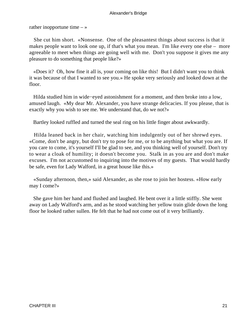rather inopportune time  $-\infty$ 

 She cut him short. «Nonsense. One of the pleasantest things about success is that it makes people want to look one up, if that's what you mean. I'm like every one else – more agreeable to meet when things are going well with me. Don't you suppose it gives me any pleasure to do something that people like?»

 «Does it? Oh, how fine it all is, your coming on like this! But I didn't want you to think it was because of that I wanted to see you.» He spoke very seriously and looked down at the floor.

 Hilda studied him in wide−eyed astonishment for a moment, and then broke into a low, amused laugh. «My dear Mr. Alexander, you have strange delicacies. If you please, that is exactly why you wish to see me. We understand that, do we not?»

Bartley looked ruffled and turned the seal ring on his little finger about awkwardly.

 Hilda leaned back in her chair, watching him indulgently out of her shrewd eyes. «Come, don't be angry, but don't try to pose for me, or to be anything but what you are. If you care to come, it's yourself I'll be glad to see, and you thinking well of yourself. Don't try to wear a cloak of humility; it doesn't become you. Stalk in as you are and don't make excuses. I'm not accustomed to inquiring into the motives of my guests. That would hardly be safe, even for Lady Walford, in a great house like this.»

 «Sunday afternoon, then,» said Alexander, as she rose to join her hostess. «How early may I come?»

 She gave him her hand and flushed and laughed. He bent over it a little stiffly. She went away on Lady Walford's arm, and as he stood watching her yellow train glide down the long floor he looked rather sullen. He felt that he had not come out of it very brilliantly.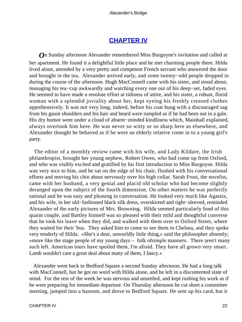## **[CHAPTER IV](#page-66-0)**

<span id="page-22-0"></span>*O*n Sunday afternoon Alexander remembered Miss Burgoyne's invitation and called at her apartment. He found it a delightful little place and he met charming people there. Hilda lived alone, attended by a very pretty and competent French servant who answered the door and brought in the tea. Alexander arrived early, and some twenty−odd people dropped in during the course of the afternoon. Hugh MacConnell came with his sister, and stood about, managing his tea−cup awkwardly and watching every one out of his deep−set, faded eyes. He seemed to have made a resolute effort at tidiness of attire, and his sister, a robust, florid woman with a splendid joviality about her, kept eyeing his freshly creased clothes apprehensively. It was not very long, indeed, before his coat hung with a discouraged sag from his gaunt shoulders and his hair and beard were rumpled as if he had been out in a gale. His dry humor went under a cloud of absent−minded kindliness which, Mainhall explained, always overtook him here. He was never so witty or so sharp here as elsewhere, and Alexander thought he behaved as if he were an elderly relative come in to a young girl's party.

 The editor of a monthly review came with his wife, and Lady Kildare, the Irish philanthropist, brought her young nephew, Robert Owen, who had come up from Oxford, and who was visibly excited and gratified by his first introduction to Miss Burgoyne. Hilda was very nice to him, and he sat on the edge of his chair, flushed with his conversational efforts and moving his chin about nervously over his high collar. Sarah Frost, the novelist, came with her husband, a very genial and placid old scholar who had become slightly deranged upon the subject of the fourth dimension. On other matters he was perfectly rational and he was easy and pleasing in conversation. He looked very much like Agassiz, and his wife, in her old−fashioned black silk dress, overskirted and tight−sleeved, reminded Alexander of the early pictures of Mrs. Browning. Hilda seemed particularly fond of this quaint couple, and Bartley himself was so pleased with their mild and thoughtful converse that he took his leave when they did, and walked with them over to Oxford Street, where they waited for their 'bus. They asked him to come to see them in Chelsea, and they spoke very tenderly of Hilda. «She's a dear, unworldly little thing,» said the philosopher absently; «more like the stage people of my young days – folk ofsimple manners. There aren't many such left. American tours have spoiled them, I'm afraid. They have all grown very smart. Lamb wouldn't care a great deal about many of them, I fancy.»

 Alexander went back to Bedford Square a second Sunday afternoon. He had a long talk with MacConnell, but he got no word with Hilda alone, and he left in a discontented state of mind. For the rest of the week he was nervous and unsettled, and kept rushing his work as if he were preparing for immediate departure. On Thursday afternoon he cut short a committee meeting, jumped into a hansom, and drove to Bedford Square. He sent up his card, but it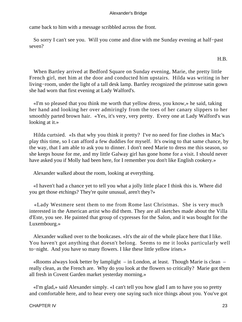came back to him with a message scribbled across the front.

 So sorry I can't see you. Will you come and dine with me Sunday evening at half−past seven?

H.B.

 When Bartley arrived at Bedford Square on Sunday evening, Marie, the pretty little French girl, met him at the door and conducted him upstairs. Hilda was writing in her living−room, under the light of a tall desk lamp. Bartley recognized the primrose satin gown she had worn that first evening at Lady Walford's.

 «I'm so pleased that you think me worth that yellow dress, you know,» he said, taking her hand and looking her over admiringly from the toes of her canary slippers to her smoothly parted brown hair. «Yes, it's very, very pretty. Every one at Lady Walford's was looking at it.»

 Hilda curtsied. «Is that why you think it pretty? I've no need for fine clothes in Mac's play this time, so I can afford a few duddies for myself. It's owing to that same chance, by the way, that I am able to ask you to dinner. I don't need Marie to dress me this season, so she keeps house for me, and my little Galway girl has gone home for a visit. I should never have asked you if Molly had been here, for I remember you don't like English cookery.»

Alexander walked about the room, looking at everything.

 «I haven't had a chance yet to tell you what a jolly little place I think this is. Where did you get those etchings? They're quite unusual, aren't they?»

 «Lady Westmere sent them to me from Rome last Christmas. She is very much interested in the American artist who did them. They are all sketches made about the Villa d'Este, you see. He painted that group of cypresses for the Salon, and it was bought for the Luxembourg.»

 Alexander walked over to the bookcases. «It's the air of the whole place here that I like. You haven't got anything that doesn't belong. Seems to me it looks particularly well to−night. And you have so many flowers. I like these little yellow irises.»

 «Rooms always look better by lamplight – in London, at least. Though Marie is clean – really clean, as the French are. Why do you look at the flowers so critically? Marie got them all fresh in Covent Garden market yesterday morning.»

 «I'm glad,» said Alexander simply. «I can't tell you how glad I am to have you so pretty and comfortable here, and to hear every one saying such nice things about you. You've got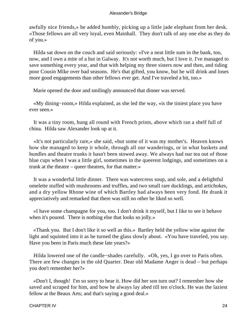awfully nice friends,» he added humbly, picking up a little jade elephant from her desk. «Those fellows are all very loyal, even Mainhall. They don't talk of any one else as they do of you.»

 Hilda sat down on the couch and said seriously: «I've a neat little sum in the bank, too, now, and I own a mite of a hut in Galway. It's not worth much, but I love it. I've managed to save something every year, and that with helping my three sisters now and then, and tiding poor Cousin Mike over bad seasons. He's that gifted, you know, but he will drink and loses more good engagements than other fellows ever get. And I've traveled a bit, too.»

Marie opened the door and smilingly announced that dinner was served.

 «My dining−room,» Hilda explained, as she led the way, «is the tiniest place you have ever seen.»

 It was a tiny room, hung all round with French prints, above which ran a shelf full of china. Hilda saw Alexander look up at it.

 «It's not particularly rare,» she said, «but some of it was my mother's. Heaven knows how she managed to keep it whole, through all our wanderings, or in what baskets and bundles and theatre trunks it hasn't been stowed away. We always had our tea out of those blue cups when I was a little girl, sometimes in the queerest lodgings, and sometimes on a trunk at the theatre – queer theatres, for that matter.»

 It was a wonderful little dinner. There was watercress soup, and sole, and a delightful omelette stuffed with mushrooms and truffles, and two small rare ducklings, and artichokes, and a dry yellow Rhone wine of which Bartley had always been very fond. He drank it appreciatively and remarked that there was still no other he liked so well.

 «I have some champagne for you, too. I don't drink it myself, but I like to see it behave when it's poured. There is nothing else that looks so jolly.»

 «Thank you. But I don't like it so well as this.» Bartley held the yellow wine against the light and squinted into it as he turned the glass slowly about. «You have traveled, you say. Have you been in Paris much these late years?»

 Hilda lowered one of the candle−shades carefully. «Oh, yes, I go over to Paris often. There are few changes in the old Quarter. Dear old Madame Anger is dead – but perhaps you don't remember her?»

 «Don't I, though! I'm so sorry to hear it. How did her son turn out? I remember how she saved and scraped for him, and how he always lay abed till ten o'clock. He was the laziest fellow at the Beaux Arts; and that's saying a good deal.»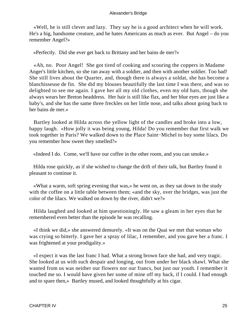«Well, he is still clever and lazy. They say he is a good architect when he will work. He's a big, handsome creature, and he hates Americans as much as ever. But Angel – do you remember Angel?»

«Perfectly. Did she ever get back to Brittany and her bains de mer?»

 «Ah, no. Poor Angel! She got tired of cooking and scouring the coppers in Madame Anger's little kitchen, so she ran away with a soldier, and then with another soldier. Too bad! She still lives about the Quarter, and, though there is always a soldat, she has become a blanchisseuse de fin. She did my blouses beautifully the last time I was there, and was so delighted to see me again. I gave her all my old clothes, even my old hats, though she always wears her Breton headdress. Her hair is still like flax, and her blue eyes are just like a baby's, and she has the same three freckles on her little nose, and talks about going back to her bains de mer.»

 Bartley looked at Hilda across the yellow light of the candles and broke into a low, happy laugh. «How jolly it was being young, Hilda! Do you remember that first walk we took together in Paris? We walked down to the Place Saint−Michel to buy some lilacs. Do you remember how sweet they smelled?»

«Indeed I do. Come, we'll have our coffee in the other room, and you can smoke.»

 Hilda rose quickly, as if she wished to change the drift of their talk, but Bartley found it pleasant to continue it.

 «What a warm, soft spring evening that was,» he went on, as they sat down in the study with the coffee on a little table between them; «and the sky, over the bridges, was just the color of the lilacs. We walked on down by the river, didn't we?»

 Hilda laughed and looked at him questioningly. He saw a gleam in her eyes that he remembered even better than the episode he was recalling.

 «I think we did,» she answered demurely. «It was on the Quai we met that woman who was crying so bitterly. I gave her a spray of lilac, I remember, and you gave her a franc. I was frightened at your prodigality.»

 «I expect it was the last franc I had. What a strong brown face she had, and very tragic. She looked at us with such despair and longing, out from under her black shawl. What she wanted from us was neither our flowers nor our francs, but just our youth. I remember it touched me so. I would have given her some of mine off my back, if I could. I had enough and to spare then,» Bartley mused, and looked thoughtfully at his cigar.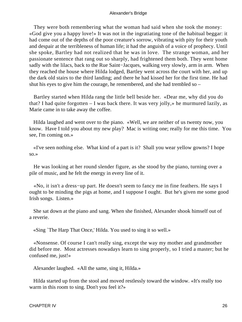They were both remembering what the woman had said when she took the money: «God give you a happy love!» It was not in the ingratiating tone of the habitual beggar: it had come out of the depths of the poor creature's sorrow, vibrating with pity for their youth and despair at the terribleness of human life; it had the anguish of a voice of prophecy. Until she spoke, Bartley had not realized that he was in love. The strange woman, and her passionate sentence that rang out so sharply, had frightened them both. They went home sadly with the lilacs, back to the Rue Saint−Jacques, walking very slowly, arm in arm. When they reached the house where Hilda lodged, Bartley went across the court with her, and up the dark old stairs to the third landing; and there he had kissed her for the first time. He had shut his eyes to give him the courage, he remembered, and she had trembled so –

 Bartley started when Hilda rang the little bell beside her. «Dear me, why did you do that? I had quite forgotten – I was back there. It was very jolly,» he murmured lazily, as Marie came in to take away the coffee.

 Hilda laughed and went over to the piano. «Well, we are neither of us twenty now, you know. Have I told you about my new play? Mac is writing one; really for me this time. You see, I'm coming on.»

 «I've seen nothing else. What kind of a part is it? Shall you wear yellow gowns? I hope so.»

 He was looking at her round slender figure, as she stood by the piano, turning over a pile of music, and he felt the energy in every line of it.

 «No, it isn't a dress−up part. He doesn't seem to fancy me in fine feathers. He says I ought to be minding the pigs at home, and I suppose I ought. But he's given me some good Irish songs. Listen.»

 She sat down at the piano and sang. When she finished, Alexander shook himself out of a reverie.

«Sing `The Harp That Once,' Hilda. You used to sing it so well.»

 «Nonsense. Of course I can't really sing, except the way my mother and grandmother did before me. Most actresses nowadays learn to sing properly, so I tried a master; but he confused me, just!»

Alexander laughed. «All the same, sing it, Hilda.»

 Hilda started up from the stool and moved restlessly toward the window. «It's really too warm in this room to sing. Don't you feel it?»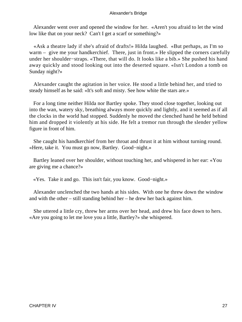Alexander went over and opened the window for her. «Aren't you afraid to let the wind low like that on your neck? Can't I get a scarf or something?»

 «Ask a theatre lady if she's afraid of drafts!» Hilda laughed. «But perhaps, as I'm so warm – give me your handkerchief. There, just in front.» He slipped the corners carefully under her shoulder−straps. «There, that will do. It looks like a bib.» She pushed his hand away quickly and stood looking out into the deserted square. «Isn't London a tomb on Sunday night?»

 Alexander caught the agitation in her voice. He stood a little behind her, and tried to steady himself as he said: «It's soft and misty. See how white the stars are.»

 For a long time neither Hilda nor Bartley spoke. They stood close together, looking out into the wan, watery sky, breathing always more quickly and lightly, and it seemed as if all the clocks in the world had stopped. Suddenly he moved the clenched hand he held behind him and dropped it violently at his side. He felt a tremor run through the slender yellow figure in front of him.

 She caught his handkerchief from her throat and thrust it at him without turning round. «Here, take it. You must go now, Bartley. Good−night.»

 Bartley leaned over her shoulder, without touching her, and whispered in her ear: «You are giving me a chance?»

«Yes. Take it and go. This isn't fair, you know. Good−night.»

 Alexander unclenched the two hands at his sides. With one he threw down the window and with the other – still standing behind her – he drew her back against him.

 She uttered a little cry, threw her arms over her head, and drew his face down to hers. «Are you going to let me love you a little, Bartley?» she whispered.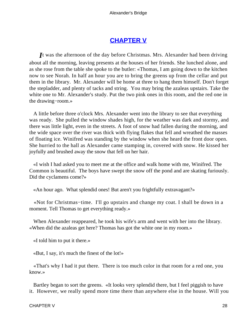## **[CHAPTER V](#page-66-0)**

<span id="page-28-0"></span>*I*t was the afternoon of the day before Christmas. Mrs. Alexander had been driving about all the morning, leaving presents at the houses of her friends. She lunched alone, and as she rose from the table she spoke to the butler: «Thomas, I am going down to the kitchen now to see Norah. In half an hour you are to bring the greens up from the cellar and put them in the library. Mr. Alexander will be home at three to hang them himself. Don't forget the stepladder, and plenty of tacks and string. You may bring the azaleas upstairs. Take the white one to Mr. Alexander's study. Put the two pink ones in this room, and the red one in the drawing−room.»

 A little before three o'clock Mrs. Alexander went into the library to see that everything was ready. She pulled the window shades high, for the weather was dark and stormy, and there was little light, even in the streets. A foot of snow had fallen during the morning, and the wide space over the river was thick with flying flakes that fell and wreathed the masses of floating ice. Winifred was standing by the window when she heard the front door open. She hurried to the hall as Alexander came stamping in, covered with snow. He kissed her joyfully and brushed away the snow that fell on her hair.

 «I wish I had asked you to meet me at the office and walk home with me, Winifred. The Common is beautiful. The boys have swept the snow off the pond and are skating furiously. Did the cyclamens come?»

«An hour ago. What splendid ones! But aren't you frightfully extravagant?»

 «Not for Christmas−time. I'll go upstairs and change my coat. I shall be down in a moment. Tell Thomas to get everything ready.»

 When Alexander reappeared, he took his wife's arm and went with her into the library. «When did the azaleas get here? Thomas has got the white one in my room.»

«I told him to put it there.»

«But, I say, it's much the finest of the lot!»

 «That's why I had it put there. There is too much color in that room for a red one, you know.»

 Bartley began to sort the greens. «It looks very splendid there, but I feel piggish to have it. However, we really spend more time there than anywhere else in the house. Will you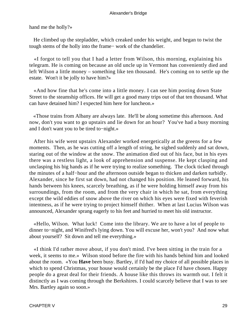hand me the holly?»

 He climbed up the stepladder, which creaked under his weight, and began to twist the tough stems of the holly into the frame− work of the chandelier.

 «I forgot to tell you that I had a letter from Wilson, this morning, explaining his telegram. He is coming on because an old uncle up in Vermont has conveniently died and left Wilson a little money – something like ten thousand. He's coming on to settle up the estate. Won't it be jolly to have him?»

 «And how fine that he's come into a little money. I can see him posting down State Street to the steamship offices. He will get a good many trips out of that ten thousand. What can have detained him? I expected him here for luncheon.»

 «Those trains from Albany are always late. He'll be along sometime this afternoon. And now, don't you want to go upstairs and lie down for an hour? You've had a busy morning and I don't want you to be tired to−night.»

 After his wife went upstairs Alexander worked energetically at the greens for a few moments. Then, as he was cutting off a length of string, he sighed suddenly and sat down, staring out of the window at the snow. The animation died out of his face, but in his eyes there was a restless light, a look of apprehension and suspense. He kept clasping and unclasping his big hands as if he were trying to realize something. The clock ticked through the minutes of a half−hour and the afternoon outside began to thicken and darken turbidly. Alexander, since he first sat down, had not changed his position. He leaned forward, his hands between his knees, scarcely breathing, as if he were holding himself away from his surroundings, from the room, and from the very chair in which he sat, from everything except the wild eddies of snow above the river on which his eyes were fixed with feverish intentness, as if he were trying to project himself thither. When at last Lucius Wilson was announced, Alexander sprang eagerly to his feet and hurried to meet his old instructor.

 «Hello, Wilson. What luck! Come into the library. We are to have a lot of people to dinner to−night, and Winifred's lying down. You will excuse her, won't you? And now what about yourself? Sit down and tell me everything.»

 «I think I'd rather move about, if you don't mind. I've been sitting in the train for a week, it seems to me.» Wilson stood before the fire with his hands behind him and looked about the room. «You **Have** been busy. Bartley, if I'd had my choice of all possible places in which to spend Christmas, your house would certainly be the place I'd have chosen. Happy people do a great deal for their friends. A house like this throws its warmth out. I felt it distinctly as I was coming through the Berkshires. I could scarcely believe that I was to see Mrs. Bartley again so soon.»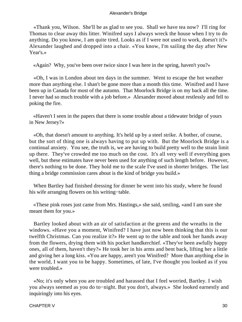«Thank you, Wilson. She'll be as glad to see you. Shall we have tea now? I'll ring for Thomas to clear away this litter. Winifred says I always wreck the house when I try to do anything. Do you know, I am quite tired. Looks as if I were not used to work, doesn't it?» Alexander laughed and dropped into a chair. «You know, I'm sailing the day after New Year's.»

«Again? Why, you've been over twice since I was here in the spring, haven't you?»

 «Oh, I was in London about ten days in the summer. Went to escape the hot weather more than anything else. I shan't be gone more than a month this time. Winifred and I have been up in Canada for most of the autumn. That Moorlock Bridge is on my back all the time. I never had so much trouble with a job before.» Alexander moved about restlessly and fell to poking the fire.

 «Haven't I seen in the papers that there is some trouble about a tidewater bridge of yours in New Jersey?»

 «Oh, that doesn't amount to anything. It's held up by a steel strike. A bother, of course, but the sort of thing one is always having to put up with. But the Moorlock Bridge is a continual anxiety. You see, the truth is, we are having to build pretty well to the strain limit up there. They've crowded me too much on the cost. It's all very well if everything goes well, but these estimates have never been used for anything of such length before. However, there's nothing to be done. They hold me to the scale I've used in shorter bridges. The last thing a bridge commission cares about is the kind of bridge you build.»

 When Bartley had finished dressing for dinner he went into his study, where he found his wife arranging flowers on his writing−table.

 «These pink roses just came from Mrs. Hastings,» she said, smiling, «and I am sure she meant them for you.»

 Bartley looked about with an air of satisfaction at the greens and the wreaths in the windows. «Have you a moment, Winifred? I have just now been thinking that this is our twelfth Christmas. Can you realize it?» He went up to the table and took her hands away from the flowers, drying them with his pocket handkerchief. «They've been awfully happy ones, all of them, haven't they?» He took her in his arms and bent back, lifting her a little and giving her a long kiss. «You are happy, aren't you Winifred? More than anything else in the world, I want you to be happy. Sometimes, of late, I've thought you looked as if you were troubled.»

 «No; it's only when you are troubled and harassed that I feel worried, Bartley. I wish you always seemed as you do to−night. But you don't, always.» She looked earnestly and inquiringly into his eyes.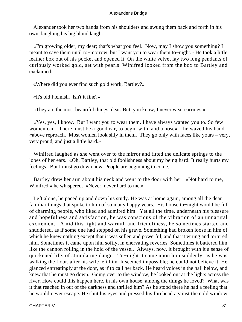Alexander took her two hands from his shoulders and swung them back and forth in his own, laughing his big blond laugh.

 «I'm growing older, my dear; that's what you feel. Now, may I show you something? I meant to save them until to−morrow, but I want you to wear them to−night.» He took a little leather box out of his pocket and opened it. On the white velvet lay two long pendants of curiously worked gold, set with pearls. Winifred looked from the box to Bartley and exclaimed: –

«Where did you ever find such gold work, Bartley?»

«It's old Flemish. Isn't it fine?»

«They are the most beautiful things, dear. But, you know, I never wear earrings.»

 «Yes, yes, I know. But I want you to wear them. I have always wanted you to. So few women can. There must be a good ear, to begin with, and a nose» – he waved his hand – «above reproach. Most women look silly in them. They go only with faces like yours – very, very proud, and just a little hard.»

 Winifred laughed as she went over to the mirror and fitted the delicate springs to the lobes of her ears. «Oh, Bartley, that old foolishness about my being hard. It really hurts my feelings. But I must go down now. People are beginning to come.»

 Bartley drew her arm about his neck and went to the door with her. «Not hard to me, Winifred,» he whispered. «Never, never hard to me.»

 Left alone, he paced up and down his study. He was at home again, among all the dear familiar things that spoke to him of so many happy years. His house to−night would be full of charming people, who liked and admired him. Yet all the time, underneath his pleasure and hopefulness and satisfaction, he was conscious of the vibration of an unnatural excitement. Amid this light and warmth and friendliness, he sometimes started and shuddered, as if some one had stepped on his grave. Something had broken loose in him of which he knew nothing except that it was sullen and powerful, and that it wrung and tortured him. Sometimes it came upon him softly, in enervating reveries. Sometimes it battered him like the cannon rolling in the hold of the vessel. Always, now, it brought with it a sense of quickened life, of stimulating danger. To−night it came upon him suddenly, as he was walking the floor, after his wife left him. It seemed impossible; he could not believe it. He glanced entreatingly at the door, as if to call her back. He heard voices in the hall below, and knew that he must go down. Going over to the window, he looked out at the lights across the river. How could this happen here, in his own house, among the things he loved? What was it that reached in out of the darkness and thrilled him? As he stood there he had a feeling that he would never escape. He shut his eyes and pressed his forehead against the cold window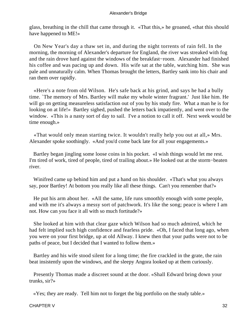glass, breathing in the chill that came through it. «That this,» he groaned, «that this should have happened to ME!»

 On New Year's day a thaw set in, and during the night torrents of rain fell. In the morning, the morning of Alexander's departure for England, the river was streaked with fog and the rain drove hard against the windows of the breakfast−room. Alexander had finished his coffee and was pacing up and down. His wife sat at the table, watching him. She was pale and unnaturally calm. When Thomas brought the letters, Bartley sank into his chair and ran them over rapidly.

 «Here's a note from old Wilson. He's safe back at his grind, and says he had a bully time. `The memory of Mrs. Bartley will make my whole winter fragrant.' Just like him. He will go on getting measureless satisfaction out of you by his study fire. What a man he is for looking on at life!» Bartley sighed, pushed the letters back impatiently, and went over to the window. «This is a nasty sort of day to sail. I've a notion to call it off. Next week would be time enough.»

 «That would only mean starting twice. It wouldn't really help you out at all,» Mrs. Alexander spoke soothingly. «And you'd come back late for all your engagements.»

 Bartley began jingling some loose coins in his pocket. «I wish things would let me rest. I'm tired of work, tired of people, tired of trailing about.» He looked out at the storm−beaten river.

 Winifred came up behind him and put a hand on his shoulder. «That's what you always say, poor Bartley! At bottom you really like all these things. Can't you remember that?»

 He put his arm about her. «All the same, life runs smoothly enough with some people, and with me it's always a messy sort of patchwork. It's like the song; peace is where I am not. How can you face it all with so much fortitude?»

 She looked at him with that clear gaze which Wilson had so much admired, which he had felt implied such high confidence and fearless pride. «Oh, I faced that long ago, when you were on your first bridge, up at old Allway. I knew then that your paths were not to be paths of peace, but I decided that I wanted to follow them.»

 Bartley and his wife stood silent for a long time; the fire crackled in the grate, the rain beat insistently upon the windows, and the sleepy Angora looked up at them curiously.

 Presently Thomas made a discreet sound at the door. «Shall Edward bring down your trunks, sir?»

«Yes; they are ready. Tell him not to forget the big portfolio on the study table.»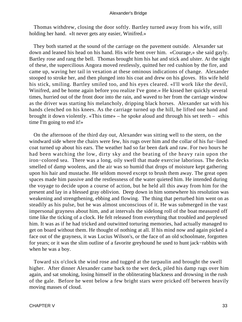Thomas withdrew, closing the door softly. Bartley turned away from his wife, still holding her hand. «It never gets any easier, Winifred.»

 They both started at the sound of the carriage on the pavement outside. Alexander sat down and leaned his head on his hand. His wife bent over him. «Courage,» she said gayly. Bartley rose and rang the bell. Thomas brought him his hat and stick and ulster. At the sight of these, the supercilious Angora moved restlessly, quitted her red cushion by the fire, and came up, waving her tail in vexation at these ominous indications of change. Alexander stooped to stroke her, and then plunged into his coat and drew on his gloves. His wife held his stick, smiling. Bartley smiled too, and his eyes cleared. «I'll work like the devil, Winifred, and be home again before you realize I've gone.» He kissed her quickly several times, hurried out of the front door into the rain, and waved to her from the carriage window as the driver was starting his melancholy, dripping black horses. Alexander sat with his hands clenched on his knees. As the carriage turned up the hill, he lifted one hand and brought it down violently. «This time» – he spoke aloud and through his set teeth – «this time I'm going to end it!»

 On the afternoon of the third day out, Alexander was sitting well to the stern, on the windward side where the chairs were few, his rugs over him and the collar of his fur−lined coat turned up about his ears. The weather had so far been dark and raw. For two hours he had been watching the low, dirty sky and the beating of the heavy rain upon the iron−colored sea. There was a long, oily swell that made exercise laborious. The decks smelled of damp woolens, and the air was so humid that drops of moisture kept gathering upon his hair and mustache. He seldom moved except to brush them away. The great open spaces made him passive and the restlessness of the water quieted him. He intended during the voyage to decide upon a course of action, but he held all this away from him for the present and lay in a blessed gray oblivion. Deep down in him somewhere his resolution was weakening and strengthening, ebbing and flowing. The thing that perturbed him went on as steadily as his pulse, but he was almost unconscious of it. He was submerged in the vast impersonal grayness about him, and at intervals the sidelong roll of the boat measured off time like the ticking of a clock. He felt released from everything that troubled and perplexed him. It was as if he had tricked and outwitted torturing memories, had actually managed to get on board without them. He thought of nothing at all. If his mind now and again picked a face out of the grayness, it was Lucius Wilson's, or the face of an old schoolmate, forgotten for years; or it was the slim outline of a favorite greyhound he used to hunt jack−rabbits with when he was a boy.

 Toward six o'clock the wind rose and tugged at the tarpaulin and brought the swell higher. After dinner Alexander came back to the wet deck, piled his damp rugs over him again, and sat smoking, losing himself in the obliterating blackness and drowsing in the rush of the gale. Before he went below a few bright stars were pricked off between heavily moving masses of cloud.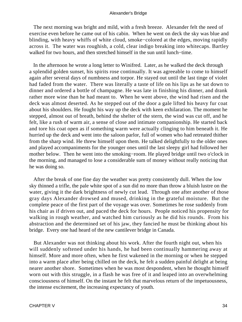The next morning was bright and mild, with a fresh breeze. Alexander felt the need of exercise even before he came out of his cabin. When he went on deck the sky was blue and blinding, with heavy whiffs of white cloud, smoke−colored at the edges, moving rapidly across it. The water was roughish, a cold, clear indigo breaking into whitecaps. Bartley walked for two hours, and then stretched himself in the sun until lunch−time.

 In the afternoon he wrote a long letter to Winifred. Later, as he walked the deck through a splendid golden sunset, his spirits rose continually. It was agreeable to come to himself again after several days of numbness and torpor. He stayed out until the last tinge of violet had faded from the water. There was literally a taste of life on his lips as he sat down to dinner and ordered a bottle of champagne. He was late in finishing his dinner, and drank rather more wine than he had meant to. When he went above, the wind had risen and the deck was almost deserted. As he stepped out of the door a gale lifted his heavy fur coat about his shoulders. He fought his way up the deck with keen exhilaration. The moment he stepped, almost out of breath, behind the shelter of the stern, the wind was cut off, and he felt, like a rush of warm air, a sense of close and intimate companionship. He started back and tore his coat open as if something warm were actually clinging to him beneath it. He hurried up the deck and went into the saloon parlor, full of women who had retreated thither from the sharp wind. He threw himself upon them. He talked delightfully to the older ones and played accompaniments for the younger ones until the last sleepy girl had followed her mother below. Then he went into the smoking−room. He played bridge until two o'clock in the morning, and managed to lose a considerable sum of money without really noticing that he was doing so.

 After the break of one fine day the weather was pretty consistently dull. When the low sky thinned a trifle, the pale white spot of a sun did no more than throw a bluish lustre on the water, giving it the dark brightness of newly cut lead. Through one after another of those gray days Alexander drowsed and mused, drinking in the grateful moisture. But the complete peace of the first part of the voyage was over. Sometimes he rose suddenly from his chair as if driven out, and paced the deck for hours. People noticed his propensity for walking in rough weather, and watched him curiously as he did his rounds. From his abstraction and the determined set of his jaw, they fancied he must be thinking about his bridge. Every one had heard of the new cantilever bridge in Canada.

 But Alexander was not thinking about his work. After the fourth night out, when his will suddenly softened under his hands, he had been continually hammering away at himself. More and more often, when he first wakened in the morning or when he stepped into a warm place after being chilled on the deck, he felt a sudden painful delight at being nearer another shore. Sometimes when he was most despondent, when he thought himself worn out with this struggle, in a flash he was free of it and leaped into an overwhelming consciousness of himself. On the instant he felt that marvelous return of the impetuousness, the intense excitement, the increasing expectancy of youth.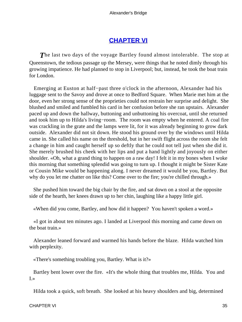## **[CHAPTER VI](#page-66-0)**

<span id="page-35-0"></span>**The last two days of the voyage Bartley found almost intolerable. The stop at** Queenstown, the tedious passage up the Mersey, were things that he noted dimly through his growing impatience. He had planned to stop in Liverpool; but, instead, he took the boat train for London.

 Emerging at Euston at half−past three o'clock in the afternoon, Alexander had his luggage sent to the Savoy and drove at once to Bedford Square. When Marie met him at the door, even her strong sense of the proprieties could not restrain her surprise and delight. She blushed and smiled and fumbled his card in her confusion before she ran upstairs. Alexander paced up and down the hallway, buttoning and unbuttoning his overcoat, until she returned and took him up to Hilda's living−room. The room was empty when he entered. A coal fire was crackling in the grate and the lamps were lit, for it was already beginning to grow dark outside. Alexander did not sit down. He stood his ground over by the windows until Hilda came in. She called his name on the threshold, but in her swift flight across the room she felt a change in him and caught herself up so deftly that he could not tell just when she did it. She merely brushed his cheek with her lips and put a hand lightly and joyously on either shoulder. «Oh, what a grand thing to happen on a raw day! I felt it in my bones when I woke this morning that something splendid was going to turn up. I thought it might be Sister Kate or Cousin Mike would be happening along. I never dreamed it would be you, Bartley. But why do you let me chatter on like this? Come over to the fire; you're chilled through.»

 She pushed him toward the big chair by the fire, and sat down on a stool at the opposite side of the hearth, her knees drawn up to her chin, laughing like a happy little girl.

«When did you come, Bartley, and how did it happen? You haven't spoken a word.»

 «I got in about ten minutes ago. I landed at Liverpool this morning and came down on the boat train.»

 Alexander leaned forward and warmed his hands before the blaze. Hilda watched him with perplexity.

«There's something troubling you, Bartley. What is it?»

 Bartley bent lower over the fire. «It's the whole thing that troubles me, Hilda. You and I.»

Hilda took a quick, soft breath. She looked at his heavy shoulders and big, determined

CHAPTER VI 35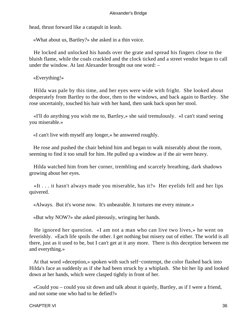head, thrust forward like a catapult in leash.

«What about us, Bartley?» she asked in a thin voice.

 He locked and unlocked his hands over the grate and spread his fingers close to the bluish flame, while the coals crackled and the clock ticked and a street vendor began to call under the window. At last Alexander brought out one word: –

«Everything!»

 Hilda was pale by this time, and her eyes were wide with fright. She looked about desperately from Bartley to the door, then to the windows, and back again to Bartley. She rose uncertainly, touched his hair with her hand, then sank back upon her stool.

 «I'll do anything you wish me to, Bartley,» she said tremulously. «I can't stand seeing you miserable.»

«I can't live with myself any longer,» he answered roughly.

 He rose and pushed the chair behind him and began to walk miserably about the room, seeming to find it too small for him. He pulled up a window as if the air were heavy.

 Hilda watched him from her corner, trembling and scarcely breathing, dark shadows growing about her eyes.

 «It . . . it hasn't always made you miserable, has it?» Her eyelids fell and her lips quivered.

«Always. But it's worse now. It's unbearable. It tortures me every minute.»

«But why NOW?» she asked piteously, wringing her hands.

 He ignored her question. «I am not a man who can live two lives,» he went on feverishly. «Each life spoils the other. I get nothing but misery out of either. The world is all there, just as it used to be, but I can't get at it any more. There is this deception between me and everything.»

 At that word «deception,» spoken with such self−contempt, the color flashed back into Hilda's face as suddenly as if she had been struck by a whiplash. She bit her lip and looked down at her hands, which were clasped tightly in front of her.

 «Could you – could you sit down and talk about it quietly, Bartley, as if I were a friend, and not some one who had to be defied?»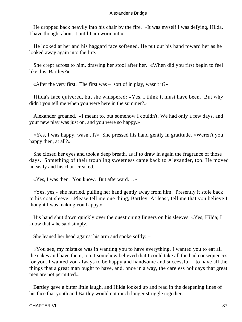He dropped back heavily into his chair by the fire. «It was myself I was defying, Hilda. I have thought about it until I am worn out.»

 He looked at her and his haggard face softened. He put out his hand toward her as he looked away again into the fire.

 She crept across to him, drawing her stool after her. «When did you first begin to feel like this, Bartley?»

«After the very first. The first was – sort of in play, wasn't it?»

 Hilda's face quivered, but she whispered: «Yes, I think it must have been. But why didn't you tell me when you were here in the summer?»

 Alexander groaned. «I meant to, but somehow I couldn't. We had only a few days, and your new play was just on, and you were so happy.»

 «Yes, I was happy, wasn't I?» She pressed his hand gently in gratitude. «Weren't you happy then, at all?»

 She closed her eyes and took a deep breath, as if to draw in again the fragrance of those days. Something of their troubling sweetness came back to Alexander, too. He moved uneasily and his chair creaked.

«Yes, I was then. You know. But afterward. . .»

 «Yes, yes,» she hurried, pulling her hand gently away from him. Presently it stole back to his coat sleeve. «Please tell me one thing, Bartley. At least, tell me that you believe I thought I was making you happy.»

 His hand shut down quickly over the questioning fingers on his sleeves. «Yes, Hilda; I know that,» he said simply.

She leaned her head against his arm and spoke softly: –

 «You see, my mistake was in wanting you to have everything. I wanted you to eat all the cakes and have them, too. I somehow believed that I could take all the bad consequences for you. I wanted you always to be happy and handsome and successful – to have all the things that a great man ought to have, and, once in a way, the careless holidays that great men are not permitted.»

 Bartley gave a bitter little laugh, and Hilda looked up and read in the deepening lines of his face that youth and Bartley would not much longer struggle together.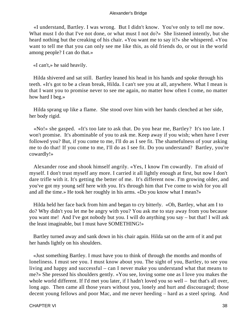«I understand, Bartley. I was wrong. But I didn't know. You've only to tell me now. What must I do that I've not done, or what must I not do?» She listened intently, but she heard nothing but the creaking of his chair. «You want me to say it?» she whispered. «You want to tell me that you can only see me like this, as old friends do, or out in the world among people? I can do that.»

«I can't,» he said heavily.

 Hilda shivered and sat still. Bartley leaned his head in his hands and spoke through his teeth. «It's got to be a clean break, Hilda. I can't see you at all, anywhere. What I mean is that I want you to promise never to see me again, no matter how often I come, no matter how hard I beg.»

 Hilda sprang up like a flame. She stood over him with her hands clenched at her side, her body rigid.

 «No!» she gasped. «It's too late to ask that. Do you hear me, Bartley? It's too late. I won't promise. It's abominable of you to ask me. Keep away if you wish; when have I ever followed you? But, if you come to me, I'll do as I see fit. The shamefulness of your asking me to do that! If you come to me, I'll do as I see fit. Do you understand? Bartley, you're cowardly!»

 Alexander rose and shook himself angrily. «Yes, I know I'm cowardly. I'm afraid of myself. I don't trust myself any more. I carried it all lightly enough at first, but now I don't dare trifle with it. It's getting the better of me. It's different now. I'm growing older, and you've got my young self here with you. It's through him that I've come to wish for you all and all the time.» He took her roughly in his arms. «Do you know what I mean?»

 Hilda held her face back from him and began to cry bitterly. «Oh, Bartley, what am I to do? Why didn't you let me be angry with you? You ask me to stay away from you because you want me! And I've got nobody but you. I will do anything you say – but that! I will ask the least imaginable, but I must have SOMETHING!»

 Bartley turned away and sank down in his chair again. Hilda sat on the arm of it and put her hands lightly on his shoulders.

 «Just something Bartley. I must have you to think of through the months and months of loneliness. I must see you. I must know about you. The sight of you, Bartley, to see you living and happy and successful – can I never make you understand what that means to me?» She pressed his shoulders gently. «You see, loving some one as I love you makes the whole world different. If I'd met you later, if I hadn't loved you so well – but that's all over, long ago. Then came all those years without you, lonely and hurt and discouraged; those decent young fellows and poor Mac, and me never heeding – hard as a steel spring. And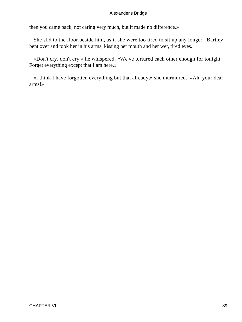then you came back, not caring very much, but it made no difference.»

 She slid to the floor beside him, as if she were too tired to sit up any longer. Bartley bent over and took her in his arms, kissing her mouth and her wet, tired eyes.

 «Don't cry, don't cry,» he whispered. «We've tortured each other enough for tonight. Forget everything except that I am here.»

 «I think I have forgotten everything but that already,» she murmured. «Ah, your dear arms!»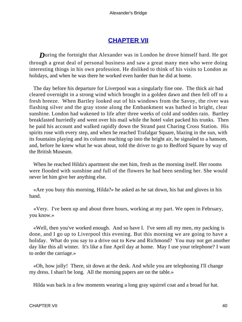## **[CHAPTER VII](#page-66-0)**

<span id="page-40-0"></span>**During the fortnight that Alexander was in London he drove himself hard. He got** through a great deal of personal business and saw a great many men who were doing interesting things in his own profession. He disliked to think of his visits to London as holidays, and when he was there he worked even harder than he did at home.

 The day before his departure for Liverpool was a singularly fine one. The thick air had cleared overnight in a strong wind which brought in a golden dawn and then fell off to a fresh breeze. When Bartley looked out of his windows from the Savoy, the river was flashing silver and the gray stone along the Embankment was bathed in bright, clear sunshine. London had wakened to life after three weeks of cold and sodden rain. Bartley breakfasted hurriedly and went over his mail while the hotel valet packed his trunks. Then he paid his account and walked rapidly down the Strand past Charing Cross Station. His spirits rose with every step, and when he reached Trafalgar Square, blazing in the sun, with its fountains playing and its column reaching up into the bright air, he signaled to a hansom, and, before he knew what he was about, told the driver to go to Bedford Square by way of the British Museum.

 When he reached Hilda's apartment she met him, fresh as the morning itself. Her rooms were flooded with sunshine and full of the flowers he had been sending her. She would never let him give her anything else.

 «Are you busy this morning, Hilda?» he asked as he sat down, his hat and gloves in his hand.

 «Very. I've been up and about three hours, working at my part. We open in February, you know.»

 «Well, then you've worked enough. And so have I. I've seen all my men, my packing is done, and I go up to Liverpool this evening. But this morning we are going to have a holiday. What do you say to a drive out to Kew and Richmond? You may not get another day like this all winter. It's like a fine April day at home. May I use your telephone? I want to order the carriage.»

 «Oh, how jolly! There, sit down at the desk. And while you are telephoning I'll change my dress. I shan't be long. All the morning papers are on the table.»

Hilda was back in a few moments wearing a long gray squirrel coat and a broad fur hat.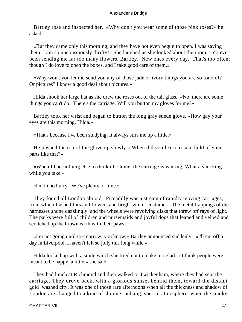Bartley rose and inspected her. «Why don't you wear some of those pink roses?» he asked.

 «But they came only this morning, and they have not even begun to open. I was saving them. I am so unconsciously thrifty!» She laughed as she looked about the room. «You've been sending me far too many flowers, Bartley. New ones every day. That's too often; though I do love to open the boxes, and I take good care of them.»

 «Why won't you let me send you any of those jade or ivory things you are so fond of? Or pictures? I know a good deal about pictures.»

 Hilda shook her large hat as she drew the roses out of the tall glass. «No, there are some things you can't do. There's the carriage. Will you button my gloves for me?»

 Bartley took her wrist and began to button the long gray suede glove. «How gay your eyes are this morning, Hilda.»

«That's because I've been studying. It always stirs me up a little.»

 He pushed the top of the glove up slowly. «When did you learn to take hold of your parts like that?»

 «When I had nothing else to think of. Come, the carriage is waiting. What a shocking while you take.»

«I'm in no hurry. We've plenty of time.»

 They found all London abroad. Piccadilly was a stream of rapidly moving carriages, from which flashed furs and flowers and bright winter costumes. The metal trappings of the harnesses shone dazzlingly, and the wheels were revolving disks that threw off rays of light. The parks were full of children and nursemaids and joyful dogs that leaped and yelped and scratched up the brown earth with their paws.

 «I'm not going until to−morrow, you know,» Bartley announced suddenly. «I'll cut off a day in Liverpool. I haven't felt so jolly this long while.»

 Hilda looked up with a smile which she tried not to make too glad. «I think people were meant to be happy, a little,» she said.

 They had lunch at Richmond and then walked to Twickenham, where they had sent the carriage. They drove back, with a glorious sunset behind them, toward the distant gold−washed city. It was one of those rare afternoons when all the thickness and shadow of London are changed to a kind of shining, pulsing, special atmosphere; when the smoky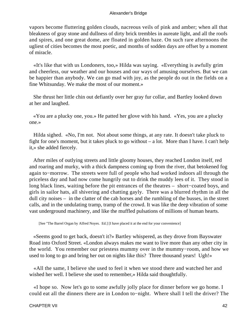vapors become fluttering golden clouds, nacreous veils of pink and amber; when all that bleakness of gray stone and dullness of dirty brick trembles in aureate light, and all the roofs and spires, and one great dome, are floated in golden haze. On such rare afternoons the ugliest of cities becomes the most poetic, and months of sodden days are offset by a moment of miracle.

 «It's like that with us Londoners, too,» Hilda was saying. «Everything is awfully grim and cheerless, our weather and our houses and our ways of amusing ourselves. But we can be happier than anybody. We can go mad with joy, as the people do out in the fields on a fine Whitsunday. We make the most of our moment.»

 She thrust her little chin out defiantly over her gray fur collar, and Bartley looked down at her and laughed.

 «You are a plucky one, you.» He patted her glove with his hand. «Yes, you are a plucky one.»

 Hilda sighed. «No, I'm not. Not about some things, at any rate. It doesn't take pluck to fight for one's moment, but it takes pluck to go without – a lot. More than I have. I can't help it,» she added fiercely.

 After miles of outlying streets and little gloomy houses, they reached London itself, red and roaring and murky, with a thick dampness coming up from the river, that betokened fog again to−morrow. The streets were full of people who had worked indoors all through the priceless day and had now come hungrily out to drink the muddy lees of it. They stood in long black lines, waiting before the pit entrances of the theatres – short−coated boys, and girls in sailor hats, all shivering and chatting gayly. There was a blurred rhythm in all the dull city noises – in the clatter of the cab horses and the rumbling of the busses, in the street calls, and in the undulating tramp, tramp of the crowd. It was like the deep vibration of some vast underground machinery, and like the muffled pulsations of millions of human hearts.

[See "The Barrel Organ by Alfred Noyes. Ed.] [I have placed it at the end for your convenience]

 «Seems good to get back, doesn't it?» Bartley whispered, as they drove from Bayswater Road into Oxford Street. «London always makes me want to live more than any other city in the world. You remember our priestess mummy over in the mummy−room, and how we used to long to go and bring her out on nights like this? Three thousand years! Ugh!»

 «All the same, I believe she used to feel it when we stood there and watched her and wished her well. I believe she used to remember,» Hilda said thoughtfully.

 «I hope so. Now let's go to some awfully jolly place for dinner before we go home. I could eat all the dinners there are in London to−night. Where shall I tell the driver? The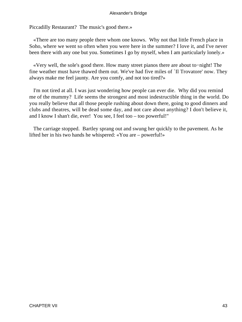Piccadilly Restaurant? The music's good there.»

 «There are too many people there whom one knows. Why not that little French place in Soho, where we went so often when you were here in the summer? I love it, and I've never been there with any one but you. Sometimes I go by myself, when I am particularly lonely.»

 «Very well, the sole's good there. How many street pianos there are about to−night! The fine weather must have thawed them out. We've had five miles of `Il Trovatore' now. They always make me feel jaunty. Are you comfy, and not too tired?»

 I'm not tired at all. I was just wondering how people can ever die. Why did you remind me of the mummy? Life seems the strongest and most indestructible thing in the world. Do you really believe that all those people rushing about down there, going to good dinners and clubs and theatres, will be dead some day, and not care about anything? I don't believe it, and I know I shan't die, ever! You see, I feel too – too powerful!"

 The carriage stopped. Bartley sprang out and swung her quickly to the pavement. As he lifted her in his two hands he whispered: «You are – powerful!»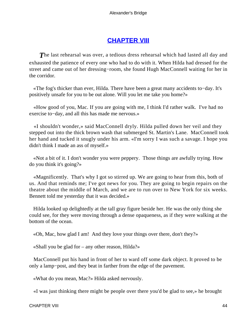## **[CHAPTER VIII](#page-66-0)**

<span id="page-44-0"></span>**The last rehearsal was over, a tedious dress rehearsal which had lasted all day and** exhausted the patience of every one who had to do with it. When Hilda had dressed for the street and came out of her dressing−room, she found Hugh MacConnell waiting for her in the corridor.

 «The fog's thicker than ever, Hilda. There have been a great many accidents to−day. It's positively unsafe for you to be out alone. Will you let me take you home?»

 «How good of you, Mac. If you are going with me, I think I'd rather walk. I've had no exercise to−day, and all this has made me nervous.»

 «I shouldn't wonder,» said MacConnell dryly. Hilda pulled down her veil and they stepped out into the thick brown wash that submerged St. Martin's Lane. MacConnell took her hand and tucked it snugly under his arm. «I'm sorry I was such a savage. I hope you didn't think I made an ass of myself.»

 «Not a bit of it. I don't wonder you were peppery. Those things are awfully trying. How do you think it's going?»

 «Magnificently. That's why I got so stirred up. We are going to hear from this, both of us. And that reminds me; I've got news for you. They are going to begin repairs on the theatre about the middle of March, and we are to run over to New York for six weeks. Bennett told me yesterday that it was decided.»

 Hilda looked up delightedly at the tall gray figure beside her. He was the only thing she could see, for they were moving through a dense opaqueness, as if they were walking at the bottom of the ocean.

«Oh, Mac, how glad I am! And they love your things over there, don't they?»

«Shall you be glad for – any other reason, Hilda?»

 MacConnell put his hand in front of her to ward off some dark object. It proved to be only a lamp−post, and they beat in farther from the edge of the pavement.

«What do you mean, Mac?» Hilda asked nervously.

«I was just thinking there might be people over there you'd be glad to see,» he brought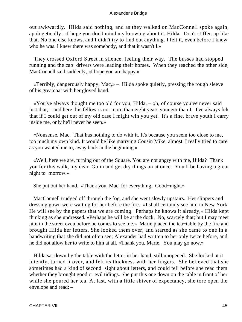out awkwardly. Hilda said nothing, and as they walked on MacConnell spoke again, apologetically: «I hope you don't mind my knowing about it, Hilda. Don't stiffen up like that. No one else knows, and I didn't try to find out anything. I felt it, even before I knew who he was. I knew there was somebody, and that it wasn't I.»

 They crossed Oxford Street in silence, feeling their way. The busses had stopped running and the cab−drivers were leading their horses. When they reached the other side, MacConnell said suddenly, «I hope you are happy.»

 «Terribly, dangerously happy, Mac,» – Hilda spoke quietly, pressing the rough sleeve of his greatcoat with her gloved hand.

 «You've always thought me too old for you, Hilda, – oh, of course you've never said just that, – and here this fellow is not more than eight years younger than I. I've always felt that if I could get out of my old case I might win you yet. It's a fine, brave youth I carry inside me, only he'll never be seen.»

 «Nonsense, Mac. That has nothing to do with it. It's because you seem too close to me, too much my own kind. It would be like marrying Cousin Mike, almost. I really tried to care as you wanted me to, away back in the beginning.»

 «Well, here we are, turning out of the Square. You are not angry with me, Hilda? Thank you for this walk, my dear. Go in and get dry things on at once. You'll be having a great night to−morrow.»

She put out her hand. «Thank you, Mac, for everything. Good−night.»

 MacConnell trudged off through the fog, and she went slowly upstairs. Her slippers and dressing gown were waiting for her before the fire. «I shall certainly see him in New York. He will see by the papers that we are coming. Perhaps he knows it already,» Hilda kept thinking as she undressed. «Perhaps he will be at the dock. No, scarcely that; but I may meet him in the street even before he comes to see me.» Marie placed the tea−table by the fire and brought Hilda her letters. She looked them over, and started as she came to one in a handwriting that she did not often see; Alexander had written to her only twice before, and he did not allow her to write to him at all. «Thank you, Marie. You may go now.»

 Hilda sat down by the table with the letter in her hand, still unopened. She looked at it intently, turned it over, and felt its thickness with her fingers. She believed that she sometimes had a kind of second−sight about letters, and could tell before she read them whether they brought good or evil tidings. She put this one down on the table in front of her while she poured her tea. At last, with a little shiver of expectancy, she tore open the envelope and read: –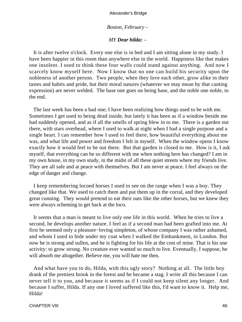#### *Boston, February –*

#### *MY Dear hilda: –*

 It is after twelve o'clock. Every one else is in bed and I am sitting alone in my study. I have been happier in this room than anywhere else in the world. Happiness like that makes one insolent. I used to think these four walls could stand against anything. And now I scarcely know myself here. Now I know that no one can build his security upon the nobleness of another person. Two people, when they love each other, grow alike in their tastes and habits and pride, but their moral natures (whatever we may mean by that canting expression) are never welded. The base one goes on being base, and the noble one noble, to the end.

 The last week has been a bad one; I have been realizing how things used to be with me. Sometimes I get used to being dead inside, but lately it has been as if a window beside me had suddenly opened, and as if all the smells of spring blew in to me. There is a garden out there, with stars overhead, where I used to walk at night when I had a single purpose and a single heart. I can remember how I used to feel there, how beautiful everything about me was, and what life and power and freedom I felt in myself. When the window opens I know exactly how it would feel to be out there. But that garden is closed to me. How is it, I ask myself, that everything can be so different with me when nothing here has changed? I am in my own house, in my own study, in the midst of all these quiet streets where my friends live. They are all safe and at peace with themselves. But I am never at peace. I feel always on the edge of danger and change.

 I keep remembering locoed horses I used to see on the range when I was a boy. They changed like that. We used to catch them and put them up in the corral, and they developed great cunning. They would pretend to eat their oats like the other horses, but we knew they were always scheming to get back at the loco.

 It seems that a man is meant to live only one life in this world. When he tries to live a second, he develops another nature. I feel as if a second man had been grafted into me. At first he seemed only a pleasure−loving simpleton, of whose company I was rather ashamed, and whom I used to hide under my coat when I walked the Embankment, in London. But now he is strong and sullen, and he is fighting for his life at the cost of mine. That is his one activity: to grow strong. No creature ever wanted so much to live. Eventually, I suppose, he will absorb me altogether. Believe me, you will hate me then.

 And what have you to do, Hilda, with this ugly story? Nothing at all. The little boy drank of the prettiest brook in the forest and he became a stag. I write all this because I can never tell it to you, and because it seems as if I could not keep silent any longer. And because I suffer, Hilda. If any one I loved suffered like this, I'd want to know it. Help me, Hilda!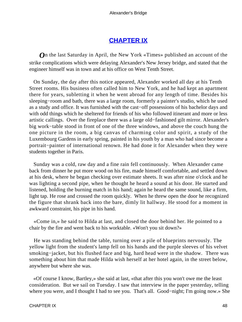## **[CHAPTER IX](#page-66-0)**

<span id="page-48-0"></span>*O*n the last Saturday in April, the New York «Times» published an account of the strike complications which were delaying Alexander's New Jersey bridge, and stated that the engineer himself was in town and at his office on West Tenth Street.

 On Sunday, the day after this notice appeared, Alexander worked all day at his Tenth Street rooms. His business often called him to New York, and he had kept an apartment there for years, subletting it when he went abroad for any length of time. Besides his sleeping−room and bath, there was a large room, formerly a painter's studio, which he used as a study and office. It was furnished with the cast−off possessions of his bachelor days and with odd things which he sheltered for friends of his who followed itinerant and more or less artistic callings. Over the fireplace there was a large old−fashioned gilt mirror. Alexander's big work−table stood in front of one of the three windows, and above the couch hung the one picture in the room, a big canvas of charming color and spirit, a study of the Luxembourg Gardens in early spring, painted in his youth by a man who had since become a portrait−painter of international renown. He had done it for Alexander when they were students together in Paris.

 Sunday was a cold, raw day and a fine rain fell continuously. When Alexander came back from dinner he put more wood on his fire, made himself comfortable, and settled down at his desk, where he began checking over estimate sheets. It was after nine o'clock and he was lighting a second pipe, when he thought he heard a sound at his door. He started and listened, holding the burning match in his hand; again he heard the same sound, like a firm, light tap. He rose and crossed the room quickly. When he threw open the door he recognized the figure that shrank back into the bare, dimly lit hallway. He stood for a moment in awkward constraint, his pipe in his hand.

 «Come in,» he said to Hilda at last, and closed the door behind her. He pointed to a chair by the fire and went back to his worktable. «Won't you sit down?»

 He was standing behind the table, turning over a pile of blueprints nervously. The yellow light from the student's lamp fell on his hands and the purple sleeves of his velvet smoking−jacket, but his flushed face and big, hard head were in the shadow. There was something about him that made Hilda wish herself at her hotel again, in the street below, anywhere but where she was.

 «Of course I know, Bartley,» she said at last, «that after this you won't owe me the least consideration. But we sail on Tuesday. I saw that interview in the paper yesterday, telling where you were, and I thought I had to see you. That's all. Good−night; I'm going now.» She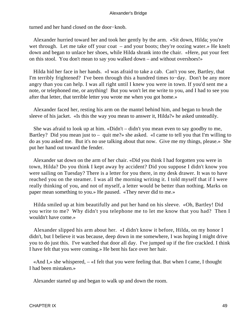turned and her hand closed on the door−knob.

 Alexander hurried toward her and took her gently by the arm. «Sit down, Hilda; you're wet through. Let me take off your coat – and your boots; they're oozing water.» He knelt down and began to unlace her shoes, while Hilda shrank into the chair. «Here, put your feet on this stool. You don't mean to say you walked down – and without overshoes!»

 Hilda hid her face in her hands. «I was afraid to take a cab. Can't you see, Bartley, that I'm terribly frightened? I've been through this a hundred times to−day. Don't be any more angry than you can help. I was all right until I knew you were in town. If you'd sent me a note, or telephoned me, or anything! But you won't let me write to you, and I had to see you after that letter, that terrible letter you wrote me when you got home.»

 Alexander faced her, resting his arm on the mantel behind him, and began to brush the sleeve of his jacket. «Is this the way you mean to answer it, Hilda?» he asked unsteadily.

 She was afraid to look up at him. «Didn't – didn't you mean even to say goodby to me, Bartley? Did you mean just to – quit me?» she asked. «I came to tell you that I'm willing to do as you asked me. But it's no use talking about that now. Give me my things, please.» She put her hand out toward the fender.

 Alexander sat down on the arm of her chair. «Did you think I had forgotten you were in town, Hilda? Do you think I kept away by accident? Did you suppose I didn't know you were sailing on Tuesday? There is a letter for you there, in my desk drawer. It was to have reached you on the steamer. I was all the morning writing it. I told myself that if I were really thinking of you, and not of myself, a letter would be better than nothing. Marks on paper mean something to you.» He paused. «They never did to me.»

 Hilda smiled up at him beautifully and put her hand on his sleeve. «Oh, Bartley! Did you write to me? Why didn't you telephone me to let me know that you had? Then I wouldn't have come.»

 Alexander slipped his arm about her. «I didn't know it before, Hilda, on my honor I didn't, but I believe it was because, deep down in me somewhere, I was hoping I might drive you to do just this. I've watched that door all day. I've jumped up if the fire crackled. I think I have felt that you were coming.» He bent his face over her hair.

 «And I,» she whispered, – «I felt that you were feeling that. But when I came, I thought I had been mistaken.»

Alexander started up and began to walk up and down the room.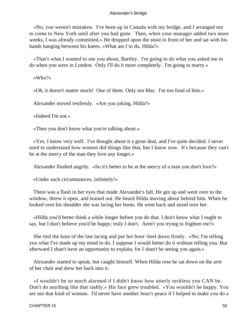«No, you weren't mistaken. I've been up in Canada with my bridge, and I arranged not to come to New York until after you had gone. Then, when your manager added two more weeks, I was already committed.» He dropped upon the stool in front of her and sat with his hands hanging between his knees. «What am I to do, Hilda?»

 «That's what I wanted to see you about, Bartley. I'm going to do what you asked me to do when you were in London. Only I'll do it more completely. I'm going to marry.»

«Who?»

«Oh, it doesn't matter much! One of them. Only not Mac. I'm too fond of him.»

Alexander moved restlessly. «Are you joking, Hilda?»

«Indeed I'm not.»

«Then you don't know what you're talking about.»

 «Yes, I know very well. I've thought about it a great deal, and I've quite decided. I never used to understand how women did things like that, but I know now. It's because they can't be at the mercy of the man they love any longer.»

Alexander flushed angrily. «So it's better to be at the mercy of a man you don't love?»

«Under such circumstances, infinitely!»

 There was a flash in her eyes that made Alexander's fall. He got up and went over to the window, threw it open, and leaned out. He heard Hilda moving about behind him. When he looked over his shoulder she was lacing her boots. He went back and stood over her.

 «Hilda you'd better think a while longer before you do that. I don't know what I ought to say, but I don't believe you'd be happy; truly I don't. Aren't you trying to frighten me?»

 She tied the knot of the last lacing and put her boot−heel down firmly. «No; I'm telling you what I've made up my mind to do. I suppose I would better do it without telling you. But afterward I shan't have an opportunity to explain, for I shan't be seeing you again.»

 Alexander started to speak, but caught himself. When Hilda rose he sat down on the arm of her chair and drew her back into it.

 «I wouldn't be so much alarmed if I didn't know how utterly reckless you CAN be. Don't do anything like that rashly.» His face grew troubled. «You wouldn't be happy. You are not that kind of woman. I'd never have another hour's peace if I helped to make you do a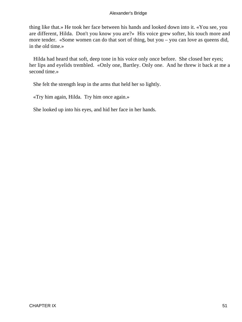thing like that.» He took her face between his hands and looked down into it. «You see, you are different, Hilda. Don't you know you are?» His voice grew softer, his touch more and more tender. «Some women can do that sort of thing, but you – you can love as queens did, in the old time.»

 Hilda had heard that soft, deep tone in his voice only once before. She closed her eyes; her lips and eyelids trembled. «Only one, Bartley. Only one. And he threw it back at me a second time.»

She felt the strength leap in the arms that held her so lightly.

«Try him again, Hilda. Try him once again.»

She looked up into his eyes, and hid her face in her hands.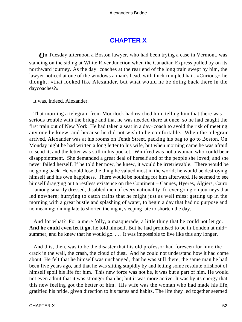## **[CHAPTER X](#page-66-0)**

<span id="page-52-0"></span>*O*n Tuesday afternoon a Boston lawyer, who had been trying a case in Vermont, was standing on the siding at White River Junction when the Canadian Express pulled by on its northward journey. As the day−coaches at the rear end of the long train swept by him, the lawyer noticed at one of the windows a man's head, with thick rumpled hair. «Curious,» he thought; «that looked like Alexander, but what would he be doing back there in the daycoaches?»

It was, indeed, Alexander.

 That morning a telegram from Moorlock had reached him, telling him that there was serious trouble with the bridge and that he was needed there at once, so he had caught the first train out of New York. He had taken a seat in a day−coach to avoid the risk of meeting any one he knew, and because he did not wish to be comfortable. When the telegram arrived, Alexander was at his rooms on Tenth Street, packing his bag to go to Boston. On Monday night he had written a long letter to his wife, but when morning came he was afraid to send it, and the letter was still in his pocket. Winifred was not a woman who could bear disappointment. She demanded a great deal of herself and of the people she loved; and she never failed herself. If he told her now, he knew, it would be irretrievable. There would be no going back. He would lose the thing he valued most in the world; he would be destroying himself and his own happiness. There would be nothing for him afterward. He seemed to see himself dragging out a restless existence on the Continent – Cannes, Hyeres, Algiers, Cairo – among smartly dressed, disabled men of every nationality; forever going on journeys that led nowhere; hurrying to catch trains that he might just as well miss; getting up in the morning with a great bustle and splashing of water, to begin a day that had no purpose and no meaning; dining late to shorten the night, sleeping late to shorten the day.

 And for what? For a mere folly, a masquerade, a little thing that he could not let go. **And he could even let it go,** he told himself. But he had promised to be in London at mid− summer, and he knew that he would go. . . . It was impossible to live like this any longer.

 And this, then, was to be the disaster that his old professor had foreseen for him: the crack in the wall, the crash, the cloud of dust. And he could not understand how it had come about. He felt that he himself was unchanged, that he was still there, the same man he had been five years ago, and that he was sitting stupidly by and letting some resolute offshoot of himself spoil his life for him. This new force was not he, it was but a part of him. He would not even admit that it was stronger than he; but it was more active. It was by its energy that this new feeling got the better of him. His wife was the woman who had made his life, gratified his pride, given direction to his tastes and habits. The life they led together seemed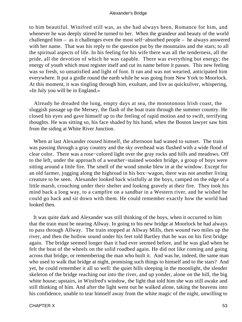to him beautiful. Winifred still was, as she had always been, Romance for him, and whenever he was deeply stirred he turned to her. When the grandeur and beauty of the world challenged him – as it challenges even the most self−absorbed people – he always answered with her name. That was his reply to the question put by the mountains and the stars; to all the spiritual aspects of life. In his feeling for his wife there was all the tenderness, all the pride, all the devotion of which he was capable. There was everything but energy; the energy of youth which must register itself and cut its name before it passes. This new feeling was so fresh, so unsatisfied and light of foot. It ran and was not wearied, anticipated him everywhere. It put a girdle round the earth while he was going from New York to Moorlock. At this moment, it was tingling through him, exultant, and live as quicksilver, whispering, «In July you will be in England.»

 Already he dreaded the long, empty days at sea, the monotonous Irish coast, the sluggish passage up the Mersey, the flash of the boat train through the summer country. He closed his eyes and gave himself up to the feeling of rapid motion and to swift, terrifying thoughts. He was sitting so, his face shaded by his hand, when the Boston lawyer saw him from the siding at White River Junction.

 When at last Alexander roused himself, the afternoon had waned to sunset. The train was passing through a gray country and the sky overhead was flushed with a wide flood of clear color. There was a rose−colored light over the gray rocks and hills and meadows. Off to the left, under the approach of a weather−stained wooden bridge, a group of boys were sitting around a little fire. The smell of the wood smoke blew in at the window. Except for an old farmer, jogging along the highroad in his box−wagon, there was not another living creature to be seen. Alexander looked back wistfully at the boys, camped on the edge of a little marsh, crouching under their shelter and looking gravely at their fire. They took his mind back a long way, to a campfire on a sandbar in a Western river, and he wished he could go back and sit down with them. He could remember exactly how the world had looked then.

 It was quite dark and Alexander was still thinking of the boys, when it occurred to him that the train must be nearing Allway. In going to his new bridge at Moorlock he had always to pass through Allway. The train stopped at Allway Mills, then wound two miles up the river, and then the hollow sound under his feet told Bartley that he was on his first bridge again. The bridge seemed longer than it had ever seemed before, and he was glad when he felt the beat of the wheels on the solid roadbed again. He did not like coming and going across that bridge, or remembering the man who built it. And was he, indeed, the same man who used to walk that bridge at night, promising such things to himself and to the stars? And yet, he could remember it all so well: the quiet hills sleeping in the moonlight, the slender skeleton of the bridge reaching out into the river, and up yonder, alone on the hill, the big white house; upstairs, in Winifred's window, the light that told him she was still awake and still thinking of him. And after the light went out he walked alone, taking the heavens into his confidence, unable to tear himself away from the white magic of the night, unwilling to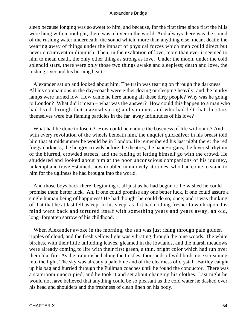sleep because longing was so sweet to him, and because, for the first time since first the hills were hung with moonlight, there was a lover in the world. And always there was the sound of the rushing water underneath, the sound which, more than anything else, meant death; the wearing away of things under the impact of physical forces which men could direct but never circumvent or diminish. Then, in the exaltation of love, more than ever it seemed to him to mean death, the only other thing as strong as love. Under the moon, under the cold, splendid stars, there were only those two things awake and sleepless; death and love, the rushing river and his burning heart.

 Alexander sat up and looked about him. The train was tearing on through the darkness. All his companions in the day−coach were either dozing or sleeping heavily, and the murky lamps were turned low. How came he here among all these dirty people? Why was he going to London? What did it mean – what was the answer? How could this happen to a man who had lived through that magical spring and summer, and who had felt that the stars themselves were but flaming particles in the far−away infinitudes of his love?

 What had he done to lose it? How could he endure the baseness of life without it? And with every revolution of the wheels beneath him, the unquiet quicksilver in his breast told him that at midsummer he would be in London. He remembered his last night there: the red foggy darkness, the hungry crowds before the theatres, the hand−organs, the feverish rhythm of the blurred, crowded streets, and the feeling of letting himself go with the crowd. He shuddered and looked about him at the poor unconscious companions of his journey, unkempt and travel−stained, now doubled in unlovely attitudes, who had come to stand to him for the ugliness he had brought into the world.

 And those boys back there, beginning it all just as he had begun it; he wished he could promise them better luck. Ah, if one could promise any one better luck, if one could assure a single human being of happiness! He had thought he could do so, once; and it was thinking of that that he at last fell asleep. In his sleep, as if it had nothing fresher to work upon, his mind went back and tortured itself with something years and years away, an old, long−forgotten sorrow of his childhood.

When Alexander awoke in the morning, the sun was just rising through pale golden ripples of cloud, and the fresh yellow light was vibrating through the pine woods. The white birches, with their little unfolding leaves, gleamed in the lowlands, and the marsh meadows were already coming to life with their first green, a thin, bright color which had run over them like fire. As the train rushed along the trestles, thousands of wild birds rose screaming into the light. The sky was already a pale blue and of the clearness of crystal. Bartley caught up his bag and hurried through the Pullman coaches until he found the conductor. There was a stateroom unoccupied, and he took it and set about changing his clothes. Last night he would not have believed that anything could be so pleasant as the cold water he dashed over his head and shoulders and the freshness of clean linen on his body.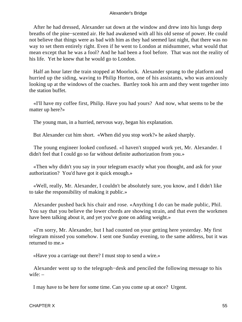After he had dressed, Alexander sat down at the window and drew into his lungs deep breaths of the pine−scented air. He had awakened with all his old sense of power. He could not believe that things were as bad with him as they had seemed last night, that there was no way to set them entirely right. Even if he went to London at midsummer, what would that mean except that he was a fool? And he had been a fool before. That was not the reality of his life. Yet he knew that he would go to London.

 Half an hour later the train stopped at Moorlock. Alexander sprang to the platform and hurried up the siding, waving to Philip Horton, one of his assistants, who was anxiously looking up at the windows of the coaches. Bartley took his arm and they went together into the station buffet.

 «I'll have my coffee first, Philip. Have you had yours? And now, what seems to be the matter up here?»

The young man, in a hurried, nervous way, began his explanation.

But Alexander cut him short. «When did you stop work?» he asked sharply.

 The young engineer looked confused. «I haven't stopped work yet, Mr. Alexander. I didn't feel that I could go so far without definite authorization from you.»

 «Then why didn't you say in your telegram exactly what you thought, and ask for your authorization? You'd have got it quick enough.»

 «Well, really, Mr. Alexander, I couldn't be absolutely sure, you know, and I didn't like to take the responsibility of making it public.»

 Alexander pushed back his chair and rose. «Anything I do can be made public, Phil. You say that you believe the lower chords are showing strain, and that even the workmen have been talking about it, and yet you've gone on adding weight.»

 «I'm sorry, Mr. Alexander, but I had counted on your getting here yesterday. My first telegram missed you somehow. I sent one Sunday evening, to the same address, but it was returned to me.»

«Have you a carriage out there? I must stop to send a wire.»

 Alexander went up to the telegraph−desk and penciled the following message to his wife: –

I may have to be here for some time. Can you come up at once? Urgent.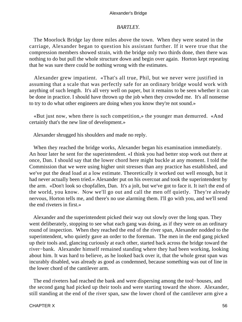#### *BARTLEY.*

 The Moorlock Bridge lay three miles above the town. When they were seated in the carriage, Alexander began to question his assistant further. If it were true that the compression members showed strain, with the bridge only two thirds done, then there was nothing to do but pull the whole structure down and begin over again. Horton kept repeating that he was sure there could be nothing wrong with the estimates.

 Alexander grew impatient. «That's all true, Phil, but we never were justified in assuming that a scale that was perfectly safe for an ordinary bridge would work with anything of such length. It's all very well on paper, but it remains to be seen whether it can be done in practice. I should have thrown up the job when they crowded me. It's all nonsense to try to do what other engineers are doing when you know they're not sound.»

 «But just now, when there is such competition,» the younger man demurred. «And certainly that's the new line of development.»

Alexander shrugged his shoulders and made no reply.

 When they reached the bridge works, Alexander began his examination immediately. An hour later he sent for the superintendent. «I think you had better stop work out there at once, Dan. I should say that the lower chord here might buckle at any moment. I told the Commission that we were using higher unit stresses than any practice has established, and we've put the dead load at a low estimate. Theoretically it worked out well enough, but it had never actually been tried.» Alexander put on his overcoat and took the superintendent by the arm. «Don't look so chopfallen, Dan. It's a jolt, but we've got to face it. It isn't the end of the world, you know. Now we'll go out and call the men off quietly. They're already nervous, Horton tells me, and there's no use alarming them. I'll go with you, and we'll send the end riveters in first.»

 Alexander and the superintendent picked their way out slowly over the long span. They went deliberately, stopping to see what each gang was doing, as if they were on an ordinary round of inspection. When they reached the end of the river span, Alexander nodded to the superintendent, who quietly gave an order to the foreman. The men in the end gang picked up their tools and, glancing curiously at each other, started back across the bridge toward the river−bank. Alexander himself remained standing where they had been working, looking about him. It was hard to believe, as he looked back over it, that the whole great span was incurably disabled, was already as good as condemned, because something was out of line in the lower chord of the cantilever arm.

 The end riveters had reached the bank and were dispersing among the tool−houses, and the second gang had picked up their tools and were starting toward the shore. Alexander, still standing at the end of the river span, saw the lower chord of the cantilever arm give a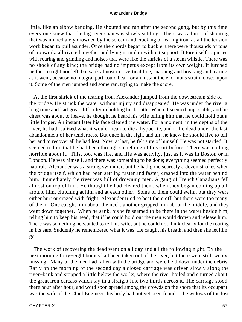little, like an elbow bending. He shouted and ran after the second gang, but by this time every one knew that the big river span was slowly settling. There was a burst of shouting that was immediately drowned by the scream and cracking of tearing iron, as all the tension work began to pull asunder. Once the chords began to buckle, there were thousands of tons of ironwork, all riveted together and lying in midair without support. It tore itself to pieces with roaring and grinding and noises that were like the shrieks of a steam whistle. There was no shock of any kind; the bridge had no impetus except from its own weight. It lurched neither to right nor left, but sank almost in a vertical line, snapping and breaking and tearing as it went, because no integral part could bear for an instant the enormous strain loosed upon it. Some of the men jumped and some ran, trying to make the shore.

 At the first shriek of the tearing iron, Alexander jumped from the downstream side of the bridge. He struck the water without injury and disappeared. He was under the river a long time and had great difficulty in holding his breath. When it seemed impossible, and his chest was about to heave, he thought he heard his wife telling him that he could hold out a little longer. An instant later his face cleared the water. For a moment, in the depths of the river, he had realized what it would mean to die a hypocrite, and to lie dead under the last abandonment of her tenderness. But once in the light and air, he knew he should live to tell her and to recover all he had lost. Now, at last, he felt sure of himself. He was not startled. It seemed to him that he had been through something of this sort before. There was nothing horrible about it. This, too, was life, and life was activity, just as it was in Boston or in London. He was himself, and there was something to be done; everything seemed perfectly natural. Alexander was a strong swimmer, but he had gone scarcely a dozen strokes when the bridge itself, which had been settling faster and faster, crashed into the water behind him. Immediately the river was full of drowning men. A gang of French Canadians fell almost on top of him. He thought he had cleared them, when they began coming up all around him, clutching at him and at each other. Some of them could swim, but they were either hurt or crazed with fright. Alexander tried to beat them off, but there were too many of them. One caught him about the neck, another gripped him about the middle, and they went down together. When he sank, his wife seemed to be there in the water beside him, telling him to keep his head, that if he could hold out the men would drown and release him. There was something he wanted to tell his wife, but he could not think clearly for the roaring in his ears. Suddenly he remembered what it was. He caught his breath, and then she let him go.

 The work of recovering the dead went on all day and all the following night. By the next morning forty−eight bodies had been taken out of the river, but there were still twenty missing. Many of the men had fallen with the bridge and were held down under the debris. Early on the morning of the second day a closed carriage was driven slowly along the river−bank and stopped a little below the works, where the river boiled and churned about the great iron carcass which lay in a straight line two thirds across it. The carriage stood there hour after hour, and word soon spread among the crowds on the shore that its occupant was the wife of the Chief Engineer; his body had not yet been found. The widows of the lost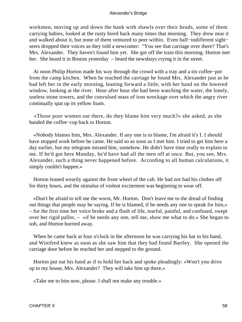workmen, moving up and down the bank with shawls over their heads, some of them carrying babies, looked at the rusty hired hack many times that morning. They drew near it and walked about it, but none of them ventured to peer within. Even half−indifferent sight− seers dropped their voices as they told a newcomer: "You see that carriage over there? That's Mrs. Alexander. They haven't found him yet. She got off the train this morning. Horton met her. She heard it in Boston yesterday – heard the newsboys crying it in the street.

 At noon Philip Horton made his way through the crowd with a tray and a tin coffee−pot from the camp kitchen. When he reached the carriage he found Mrs. Alexander just as he had left her in the early morning, leaning forward a little, with her hand on the lowered window, looking at the river. Hour after hour she had been watching the water, the lonely, useless stone towers, and the convulsed mass of iron wreckage over which the angry river continually spat up its yellow foam.

 «Those poor women out there, do they blame him very much?» she asked, as she handed the coffee−cup back to Horton.

 «Nobody blames him, Mrs. Alexander. If any one is to blame, I'm afraid it's I. I should have stopped work before he came. He said so as soon as I met him. I tried to get him here a day earlier, but my telegram missed him, somehow. He didn't have time really to explain to me. If he'd got here Monday, he'd have had all the men off at once. But, you see, Mrs. Alexander, such a thing never happened before. According to all human calculations, it simply couldn't happen.»

 Horton leaned wearily against the front wheel of the cab. He had not had his clothes off for thirty hours, and the stimulus of violent excitement was beginning to wear off.

 «Don't be afraid to tell me the worst, Mr. Horton. Don't leave me to the dread of finding out things that people may be saying. If he is blamed, if he needs any one to speak for him,» – for the first time her voice broke and a flush of life, tearful, painful, and confused, swept over her rigid pallor, – «if he needs any one, tell me, show me what to do.» She began to sob, and Horton hurried away.

When he came back at four o'clock in the afternoon he was carrying his hat in his hand, and Winifred knew as soon as she saw him that they had found Bartley. She opened the carriage door before he reached her and stepped to the ground.

 Horton put out his hand as if to hold her back and spoke pleadingly: «Won't you drive up to my house, Mrs. Alexander? They will take him up there.»

«Take me to him now, please. I shall not make any trouble.»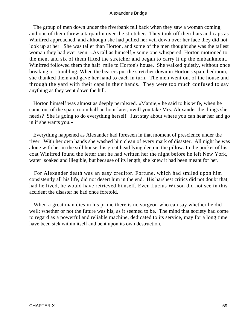The group of men down under the riverbank fell back when they saw a woman coming, and one of them threw a tarpaulin over the stretcher. They took off their hats and caps as Winifred approached, and although she had pulled her veil down over her face they did not look up at her. She was taller than Horton, and some of the men thought she was the tallest woman they had ever seen. «As tall as himself,» some one whispered. Horton motioned to the men, and six of them lifted the stretcher and began to carry it up the embankment. Winifred followed them the half−mile to Horton's house. She walked quietly, without once breaking or stumbling. When the bearers put the stretcher down in Horton's spare bedroom, she thanked them and gave her hand to each in turn. The men went out of the house and through the yard with their caps in their hands. They were too much confused to say anything as they went down the hill.

 Horton himself was almost as deeply perplexed. «Mamie,» he said to his wife, when he came out of the spare room half an hour later, «will you take Mrs. Alexander the things she needs? She is going to do everything herself. Just stay about where you can hear her and go in if she wants you.»

 Everything happened as Alexander had foreseen in that moment of prescience under the river. With her own hands she washed him clean of every mark of disaster. All night he was alone with her in the still house, his great head lying deep in the pillow. In the pocket of his coat Winifred found the letter that he had written her the night before he left New York, water−soaked and illegible, but because of its length, she knew it had been meant for her.

 For Alexander death was an easy creditor. Fortune, which had smiled upon him consistently all his life, did not desert him in the end. His harshest critics did not doubt that, had he lived, he would have retrieved himself. Even Lucius Wilson did not see in this accident the disaster he had once foretold.

When a great man dies in his prime there is no surgeon who can say whether he did well; whether or not the future was his, as it seemed to be. The mind that society had come to regard as a powerful and reliable machine, dedicated to its service, may for a long time have been sick within itself and bent upon its own destruction.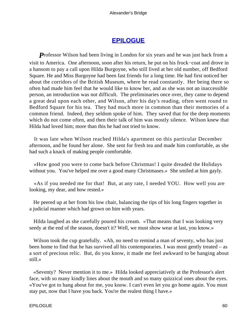### **[EPILOGUE](#page-66-0)**

<span id="page-60-0"></span>**Professor Wilson had been living in London for six years and he was just back from a** visit to America. One afternoon, soon after his return, he put on his frock−coat and drove in a hansom to pay a call upon Hilda Burgoyne, who still lived at her old number, off Bedford Square. He and Miss Burgoyne had been fast friends for a long time. He had first noticed her about the corridors of the British Museum, where he read constantly. Her being there so often had made him feel that he would like to know her, and as she was not an inaccessible person, an introduction was not difficult. The preliminaries once over, they came to depend a great deal upon each other, and Wilson, after his day's reading, often went round to Bedford Square for his tea. They had much more in common than their memories of a common friend. Indeed, they seldom spoke of him. They saved that for the deep moments which do not come often, and then their talk of him was mostly silence. Wilson knew that Hilda had loved him; more than this he had not tried to know.

 It was late when Wilson reached Hilda's apartment on this particular December afternoon, and he found her alone. She sent for fresh tea and made him comfortable, as she had such a knack of making people comfortable.

 «How good you were to come back before Christmas! I quite dreaded the Holidays without you. You've helped me over a good many Christmases.» She smiled at him gayly.

 «As if you needed me for that! But, at any rate, I needed YOU. How well you are looking, my dear, and how rested.»

 He peered up at her from his low chair, balancing the tips of his long fingers together in a judicial manner which had grown on him with years.

 Hilda laughed as she carefully poured his cream. «That means that I was looking very seedy at the end of the season, doesn't it? Well, we must show wear at last, you know.»

Wilson took the cup gratefully. «Ah, no need to remind a man of seventy, who has just been home to find that he has survived all his contemporaries. I was most gently treated – as a sort of precious relic. But, do you know, it made me feel awkward to be hanging about still.»

 «Seventy? Never mention it to me.» Hilda looked appreciatively at the Professor's alert face, with so many kindly lines about the mouth and so many quizzical ones about the eyes. «You've got to hang about for me, you know. I can't even let you go home again. You must stay put, now that I have you back. You're the realest thing I have.»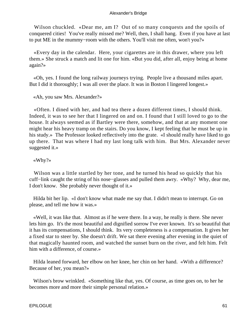Wilson chuckled. «Dear me, am I? Out of so many conquests and the spoils of conquered cities! You've really missed me? Well, then, I shall hang. Even if you have at last to put ME in the mummy−room with the others. You'll visit me often, won't you?»

 «Every day in the calendar. Here, your cigarettes are in this drawer, where you left them.» She struck a match and lit one for him. «But you did, after all, enjoy being at home again?»

 «Oh, yes. I found the long railway journeys trying. People live a thousand miles apart. But I did it thoroughly; I was all over the place. It was in Boston I lingered longest.»

«Ah, you saw Mrs. Alexander?»

 «Often. I dined with her, and had tea there a dozen different times, I should think. Indeed, it was to see her that I lingered on and on. I found that I still loved to go to the house. It always seemed as if Bartley were there, somehow, and that at any moment one might hear his heavy tramp on the stairs. Do you know, I kept feeling that he must be up in his study.» The Professor looked reflectively into the grate. «I should really have liked to go up there. That was where I had my last long talk with him. But Mrs. Alexander never suggested it.»

«Why?»

 Wilson was a little startled by her tone, and he turned his head so quickly that his cuff−link caught the string of his nose−glasses and pulled them awry. «Why? Why, dear me, I don't know. She probably never thought of it.»

 Hilda bit her lip. «I don't know what made me say that. I didn't mean to interrupt. Go on please, and tell me how it was.»

 «Well, it was like that. Almost as if he were there. In a way, he really is there. She never lets him go. It's the most beautiful and dignified sorrow I've ever known. It's so beautiful that it has its compensations, I should think. Its very completeness is a compensation. It gives her a fixed star to steer by. She doesn't drift. We sat there evening after evening in the quiet of that magically haunted room, and watched the sunset burn on the river, and felt him. Felt him with a difference, of course.»

 Hilda leaned forward, her elbow on her knee, her chin on her hand. «With a difference? Because of her, you mean?»

 Wilson's brow wrinkled. «Something like that, yes. Of course, as time goes on, to her he becomes more and more their simple personal relation.»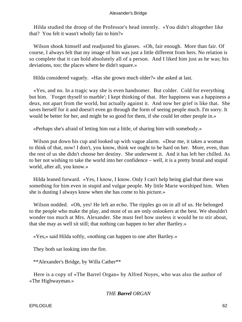Hilda studied the droop of the Professor's head intently. «You didn't altogether like that? You felt it wasn't wholly fair to him?»

 Wilson shook himself and readjusted his glasses. «Oh, fair enough. More than fair. Of course, I always felt that my image of him was just a little different from hers. No relation is so complete that it can hold absolutely all of a person. And I liked him just as he was; his deviations, too; the places where he didn't square.»

Hilda considered vaguely. «Has she grown much older?» she asked at last.

 «Yes, and no. In a tragic way she is even handsomer. But colder. Cold for everything but him. `Forget thyself to marble'; I kept thinking of that. Her happiness was a happiness a deux, not apart from the world, but actually against it. And now her grief is like that. She saves herself for it and doesn't even go through the form of seeing people much. I'm sorry. It would be better for her, and might be so good for them, if she could let other people in.»

«Perhaps she's afraid of letting him out a little, of sharing him with somebody.»

Wilson put down his cup and looked up with vague alarm. «Dear me, it takes a woman to think of that, now! I don't, you know, think we ought to be hard on her. More, even, than the rest of us she didn't choose her destiny. She underwent it. And it has left her chilled. As to her not wishing to take the world into her confidence – well, it is a pretty brutal and stupid world, after all, you know.»

 Hilda leaned forward. «Yes, I know, I know. Only I can't help being glad that there was something for him even in stupid and vulgar people. My little Marie worshiped him. When she is dusting I always know when she has come to his picture.»

 Wilson nodded. «Oh, yes! He left an echo. The ripples go on in all of us. He belonged to the people who make the play, and most of us are only onlookers at the best. We shouldn't wonder too much at Mrs. Alexander. She must feel how useless it would be to stir about, that she may as well sit still; that nothing can happen to her after Bartley.»

«Yes,» said Hilda softly, «nothing can happen to one after Bartley.»

They both sat looking into the fire.

\*\*Alexander's Bridge, by Willa Cather\*\*

 Here is a copy of «The Barrel Organ» by Alfred Noyes, who was also the author of «The Highwayman.»

### *THE Barrel ORGAN*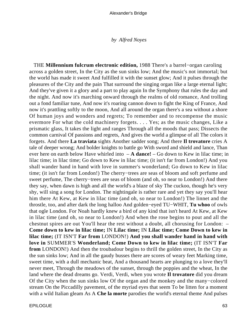#### *by Alfred Noyes*

 THE **Millennium fulcrum electronic edition,** 1988 There's a barrel−organ caroling across a golden street, In the City as the sun sinks low; And the music's not immortal; but the world has made it sweet And fulfilled it with the sunset glow; And it pulses through the pleasures of the City and the pain That surround the singing organ like a large eternal light; And they've given it a glory and a part to play again In the Symphony that rules the day and the night. And now it's marching onward through the realms of old romance, And trolling out a fond familiar tune, And now it's roaring cannon down to fight the King of France, And now it's prattling softly to the moon, And all around the organ there's a sea without a shore Of human joys and wonders and regrets; To remember and to recompense the music evermore For what the cold machinery forgets. . . . Yes; as the music changes, Like a prismatic glass, It takes the light and ranges Through all the moods that pass; Dissects the common carnival Of passions and regrets, And gives the world a glimpse of all The colors it forgets. And there **La traviata** sights Another sadder song; And there **Il trovatore** cries A tale of deeper wrong; And bolder knights to battle go With sword and shield and lance, Than ever here on earth below Have whirled into – **A dance!** – Go down to Kew in lilac time; in lilac time; in lilac time; Go down to Kew in lilac time; (it isn't far from London!) And you shall wander hand in hand with love in summer's wonderland; Go down to Kew in lilac time; (it isn't far from London!) The cherry−trees are seas of bloom and soft perfume and sweet perfume, The cherry−trees are seas of bloom (and oh, so near to London!) And there they say, when dawn is high and all the world's a blaze of sky The cuckoo, though he's very shy, will sing a song for London. The nightingale is rather rare and yet they say you'll hear him there At Kew, at Kew in lilac time (and oh, so near to London!) The linnet and the throstle, too, and after dark the long halloo And golden−eyed TU−WHIT, **Tu whoo** of owls that ogle London. For Noah hardly knew a bird of any kind that isn't heard At Kew, at Kew in lilac time (and oh, so near to London!) And when the rose begins to pout and all the chestnut spires are out You'll hear the rest without a doubt, all chorusing for London: – **Come down to kew in lilac time;** IN **Lilac time;** IN **Lilac time; Come Down to kew in lilac time;** (IT ISN'T **Far from** LONDON!) **And you shall wander hand in hand with love in** SUMMER'S **Wonderland; Come Down to kew in lilac time;** (IT ISN'T **Far from** LONDON!) And then the troubadour begins to thrill the golden street, In the City as the sun sinks low; And in all the gaudy busses there are scores of weary feet Marking time, sweet time, with a dull mechanic beat, And a thousand hearts are plunging to a love they'll never meet, Through the meadows of the sunset, through the poppies and the wheat, In the land where the dead dreams go. Verdi, Verdi, when you wrote **Il trovatore** did you dream Of the City when the sun sinks low Of the organ and the monkey and the many−colored stream On the Piccadilly pavement, of the myriad eyes that seem To be litten for a moment with a wild Italian gleam As A **Che la morte** parodies the world's eternal theme And pulses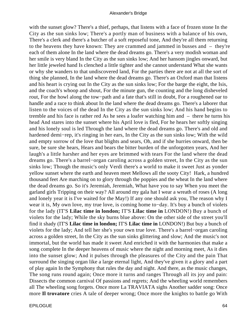with the sunset glow? There's a thief, perhaps, that listens with a face of frozen stone In the City as the sun sinks low; There's a portly man of business with a balance of his own, There's a clerk and there's a butcher of a soft reposeful tone, And they're all them returning to the heavens they have known: They are crammed and jammed in busses and – they're each of them alone In the land where the dead dreams go. There's a very modish woman and her smile is very bland In the City as the sun sinks low; And her hansom jingles onward, but her little jeweled hand Is clenched a little tighter and she cannot understand What she wants or why she wanders to that undiscovered land, For the parties there are not at all the sort of thing she planned, In the land where the dead dreams go. There's an Oxford man that listens and his heart is crying out In the City as the sun sinks low; For the barge the eight, the Isis, and the coach's whoop and shout, For the minute gun, the counting and the long disheveled rout, For the howl along the tow−path and a fate that's still in doubt, For a roughened oar to handle and a race to think about In the land where the dead dreams go. There's a laborer that listen to the voices of the dead In the City as the sun sinks low; And his hand begins to tremble and his face is rather red As he sees a loafer watching him and – there he turns his head And stares into the sunset where his April love is fled, For he hears her softly singing and his lonely soul is led Through the land where the dead dreams go. There's and old and hardened demi−rep, it's ringing in her ears, In the City as the sun sinks low; With the wild and empty sorrow of the love that blights and sears, Oh, and if she hurries onward, then be sure, be sure she hears, Hears and bears the bitter burden of the unforgotten years, And her laugh's a little harsher and her eyes are brimmed with tears For the land where the dead dreams go. There's a barrel−organ caroling across a golden street, In the City as the sun sinks low; Though the music's only Verdi there's a world to make it sweet Just as yonder yellow sunset where the earth and heaven meet Mellows all the sooty City! Hark, a hundred thousand feet Are marching on to glory through the poppies and the wheat In the land where the dead dreams go. So it's Jeremiah, Jeremiah, What have you to say When you meet the garland girls Tripping on their way? All around my gala hat I wear a wreath of roses (A long and lonely year it is I've waited for the May!) If any one should ask you, The reason why I wear it is, My own love, my true love, is coming home to−day. It's buy a bunch of violets for the lady (IT'S **Lilac time in london;** IT'S **Lilac time in** LONDON!) Buy a bunch of violets for the lady; While the sky burns blue above: On the other side of the street you'll find it shady (IT'S **Lilac time in london;** IT'S **Lilac time in** LONDON!) But buy a bunch of violets for the lady; And tell her she's your own true love. There's a barrel−organ caroling across a golden street, In the City as the sun sinks glittering and slow; And the music's not immortal, but the world has made it sweet And enriched it with the harmonies that make a song complete In the deeper heavens of music where the night and morning meet, As it dies into the sunset glow; And it pulses through the pleasures of the City and the pain That surround the singing organ like a large eternal light, And they've given it a glory and a part of play again In the Symphony that rules the day and night. And there, as the music changes, The song runs round again; Once more it turns and ranges Through all its joy and pain: Dissects the common carnival Of passions and regrets; And the wheeling world remembers all The wheeling song forgets. Once more La TRAVIATA sighs Another sadder song: Once more **Il trovatore** cries A tale of deeper wrong; Once more the knights to battle go With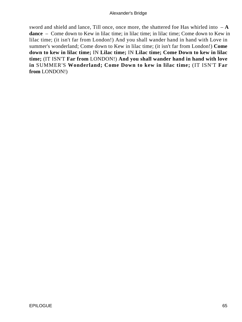sword and shield and lance, Till once, once more, the shattered foe Has whirled into  $-A$ **dance** – Come down to Kew in lilac time; in lilac time; in lilac time; Come down to Kew in lilac time; (it isn't far from London!) And you shall wander hand in hand with Love in summer's wonderland; Come down to Kew in lilac time; (it isn't far from London!) **Come down to kew in lilac time;** IN **Lilac time;** IN **Lilac time; Come Down to kew in lilac time;** (IT ISN'T **Far from** LONDON!) **And you shall wander hand in hand with love in** SUMMER'S **Wonderland; Come Down to kew in lilac time;** (IT ISN'T **Far from** LONDON!)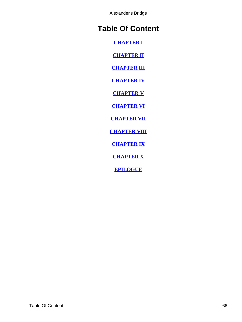## <span id="page-66-0"></span>**Table Of Content**

**[CHAPTER I](#page-3-0)**

**[CHAPTER II](#page-11-0)**

**[CHAPTER III](#page-16-0)**

**[CHAPTER IV](#page-22-0)**

**[CHAPTER V](#page-28-0)**

**[CHAPTER VI](#page-35-0)**

**[CHAPTER VII](#page-40-0)**

**[CHAPTER VIII](#page-44-0)**

**[CHAPTER IX](#page-48-0)**

**[CHAPTER X](#page-52-0)**

**[EPILOGUE](#page-60-0)**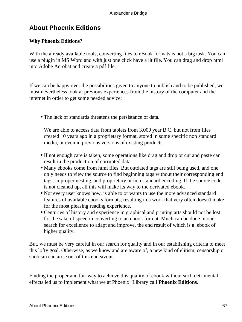## <span id="page-67-0"></span>**About Phoenix Editions**

### **Why Phoenix Editions?**

With the already available tools, converting files to eBook formats is not a big task. You can use a plugin in MS Word and with just one click have a lit file. You can drag and drop html into Adobe Acrobat and create a pdf file.

If we can be happy over the possibilities given to anyone to publish and to be published, we must nevertheless look at previous experiences from the history of the computer and the internet in order to get some needed advice:

• The lack of standards threatens the persistance of data.

We are able to access data from tablets from 3.000 year B.C. but not from files created 10 years ago in a proprietary format, stored in some specific non standard media, or even in previous versions of existing products.

- If not enough care is taken, some operations like drag and drop or cut and paste can result in the production of corrupted data.
- Many ebooks come from html files. But outdated tags are still being used, and one only needs to view the source to find beginning tags without their corresponding end tags, improper nesting, and proprietary or non standard encoding. If the source code is not cleaned up, all this will make its way to the derivated ebook.
- Not every user knows how, is able to or wants to use the more advanced standard features of available ebooks formats, resulting in a work that very often doesn't make for the most pleasing reading experience.
- Centuries of history and experience in graphical and printing arts should not be lost for the sake of speed in converting to an ebook format. Much can be done in our search for excellence to adapt and improve, the end result of which is a ebook of higher quality.

But, we must be very careful in our search for quality and in our establishing criteria to meet this lofty goal. Otherwise, as we know and are aware of, a new kind of elitism, censorship or snobism can arise out of this endeavour.

Finding the proper and fair way to achieve this quality of ebook without such detrimental effects led us to implement what we at Phoenix−Library call **Phoenix Editions**.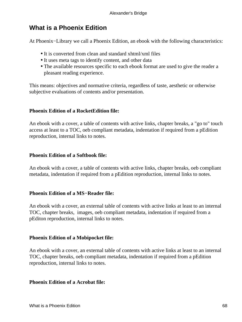## **What is a Phoenix Edition**

At Phoenix−Library we call a Phoenix Edition, an ebook with the following characteristics:

- It is converted from clean and standard xhtml/xml files
- It uses meta tags to identify content, and other data
- The available resources specific to each ebook format are used to give the reader a pleasant reading experience.

This means: objectives and normative criteria, regardless of taste, aesthetic or otherwise subjective evaluations of contents and/or presentation.

### **Phoenix Edition of a RocketEdition file:**

An ebook with a cover, a table of contents with active links, chapter breaks, a "go to" touch access at least to a TOC, oeb compliant metadata, indentation if required from a pEdition reproduction, internal links to notes.

### **Phoenix Edition of a Softbook file:**

An ebook with a cover, a table of contents with active links, chapter breaks, oeb compliant metadata, indentation if required from a pEdition reproduction, internal links to notes.

### **Phoenix Edition of a MS−Reader file:**

An ebook with a cover, an external table of contents with active links at least to an internal TOC, chapter breaks, images, oeb compliant metadata, indentation if required from a pEditon reproduction, internal links to notes.

### **Phoenix Edition of a Mobipocket file:**

An ebook with a cover, an external table of contents with active links at least to an internal TOC, chapter breaks, oeb compliant metadata, indentation if required from a pEdition reproduction, internal links to notes.

### **Phoenix Edition of a Acrobat file:**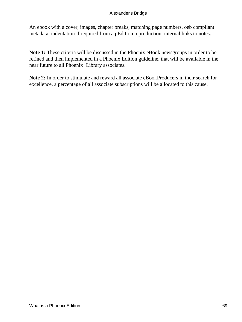An ebook with a cover, images, chapter breaks, matching page numbers, oeb compliant metadata, indentation if required from a pEdition reproduction, internal links to notes.

**Note 1:** These criteria will be discussed in the Phoenix eBook newsgroups in order to be refined and then implemented in a Phoenix Edition guideline, that will be available in the near future to all Phoenix−Library associates.

**Note 2:** In order to stimulate and reward all associate eBookProducers in their search for excellence, a percentage of all associate subscriptions will be allocated to this cause.